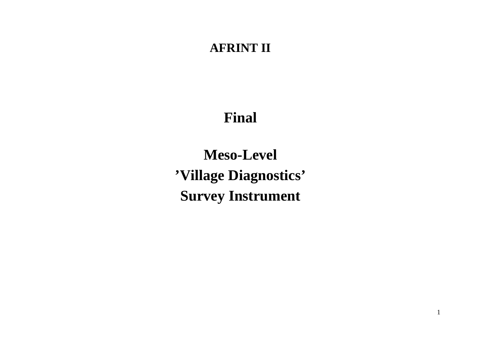# **AFRINT II**

# **Final**

**Meso-Level 'Village Diagnostics' Survey Instrument**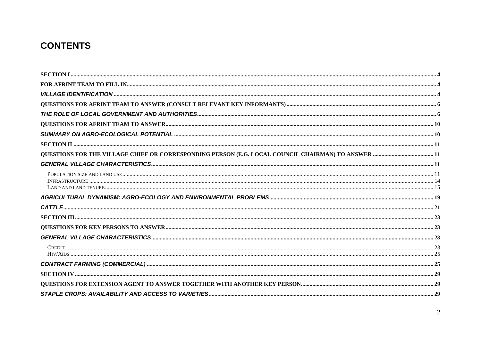### **CONTENTS**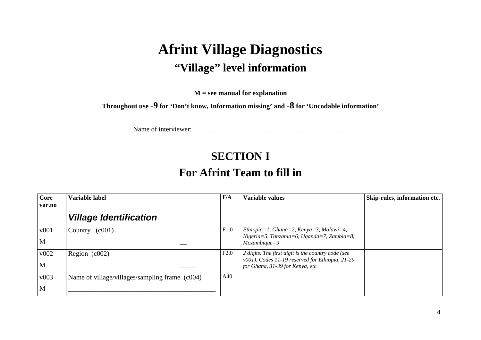# **Afrint Village Diagnostics "Village" level information**

**M = see manual for explanation** 

**Throughout use -9 for 'Don't know, Information missing' and -8 for 'Uncodable information'** 

Name of interviewer: \_\_\_\_\_\_\_\_\_\_\_\_\_\_\_\_\_\_\_\_\_\_\_\_\_\_\_\_\_\_\_\_\_\_\_\_\_\_\_\_\_\_\_\_\_

### **SECTION I**

### **For Afrint Team to fill in**

| <b>Core</b><br>var.no | Variable label                                 | F/A  | Variable values                                                                                                                           | Skip-rules, information etc. |
|-----------------------|------------------------------------------------|------|-------------------------------------------------------------------------------------------------------------------------------------------|------------------------------|
|                       | <b>Village Identification</b>                  |      |                                                                                                                                           |                              |
| v001<br>M             | (c001)<br>Country                              | F1.0 | Ethiopia=1, Ghana=2, Kenya=3, Malawi=4,<br>Nigeria=5, Tanzania=6, Uganda=7, Zambia=8,<br>$Mozambique = 9$                                 |                              |
| v002<br>M             | Region (c002)                                  | F2.0 | 2 digits. The first digit is the country code (see<br>v001). Codes 11-19 reserved for Ethiopia, 21-29<br>for Ghana, 31-39 for Kenya, etc. |                              |
| v003<br>M             | Name of village/villages/sampling frame (c004) | A40  |                                                                                                                                           |                              |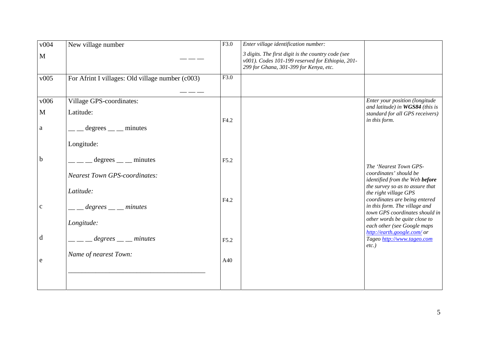| v004         | New village number                               | F3.0 | Enter village identification number:                                                                                                             |                                                                                                  |
|--------------|--------------------------------------------------|------|--------------------------------------------------------------------------------------------------------------------------------------------------|--------------------------------------------------------------------------------------------------|
| $\mathbf{M}$ |                                                  |      | 3 digits. The first digit is the country code (see<br>v001). Codes 101-199 reserved for Ethiopia, 201-<br>299 for Ghana, 301-399 for Kenya, etc. |                                                                                                  |
| v005         | For Afrint I villages: Old village number (c003) | F3.0 |                                                                                                                                                  |                                                                                                  |
| v006         | Village GPS-coordinates:                         |      |                                                                                                                                                  | Enter your position (longitude                                                                   |
| $\mathbf M$  | Latitude:                                        | F4.2 |                                                                                                                                                  | and latitude) in WGS84 (this is<br>standard for all GPS receivers)<br>in this form.              |
| a            | $degrees$ __ minutes                             |      |                                                                                                                                                  |                                                                                                  |
|              | Longitude:                                       |      |                                                                                                                                                  |                                                                                                  |
| $\mathbf b$  | $degrees$ minutes                                | F5.2 |                                                                                                                                                  | The 'Nearest Town GPS-                                                                           |
|              | <b>Nearest Town GPS-coordinates:</b>             |      |                                                                                                                                                  | coordinates' should be<br>identified from the Web before                                         |
|              | Latitude:                                        |      |                                                                                                                                                  | the survey so as to assure that<br>the right village GPS                                         |
| $\mathbf c$  | $legrees$ __ minutes                             | F4.2 |                                                                                                                                                  | coordinates are being entered<br>in this form. The village and<br>town GPS coordinates should in |
|              | Longitude:                                       |      |                                                                                                                                                  | other words be quite close to<br>each other (see Google maps<br>http://earth.google.com/ or      |
| d            | $\frac{1}{2}$ degrees $\frac{1}{2}$ minutes      | F5.2 |                                                                                                                                                  | Tageo http://www.tageo.com<br>$etc.$ )                                                           |
| e            | Name of nearest Town:                            | A40  |                                                                                                                                                  |                                                                                                  |
|              |                                                  |      |                                                                                                                                                  |                                                                                                  |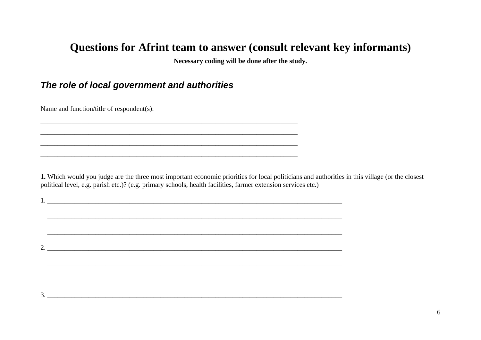### Questions for Afrint team to answer (consult relevant key informants)

Necessary coding will be done after the study.

#### The role of local government and authorities

Name and function/title of respondent(s):

1. Which would you judge are the three most important economic priorities for local politicians and authorities in this village (or the closest political level, e.g. parish etc.)? (e.g. primary schools, health facilities, farmer extension services etc.)

 $\overline{\phantom{a}}$  2.

,我们也不会有什么。""我们的人,我们也不会有什么?""我们的人,我们也不会有什么?""我们的人,我们也不会有什么?""我们的人,我们也不会有什么?""我们的人

 $3.$   $\overline{\phantom{a}1}$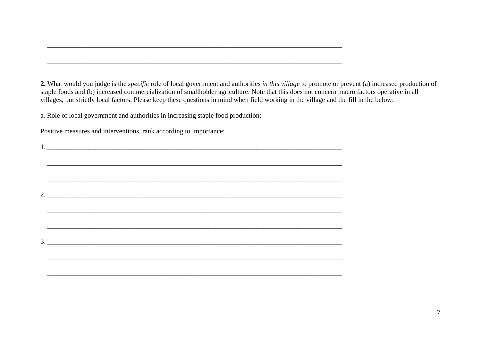**2.** What would you judge is the *specific* role of local government and authorities *in this village* to promote or prevent (a) increased production of staple foods and (b) increased commercialization of smallholder agriculture. Note that this does not concern macro factors operative in all villages, but strictly local factors. Please keep these questions in mind when field working in the village and the fill in the below:

a. Role of local government and authorities in increasing staple food production:

Positive measures and interventions, rank according to importance:

 $\mathcal{L}_\text{max}$  $\mathcal{L}_\mathcal{L} = \{ \mathcal{L}_\mathcal{L} = \{ \mathcal{L}_\mathcal{L} = \{ \mathcal{L}_\mathcal{L} = \{ \mathcal{L}_\mathcal{L} = \{ \mathcal{L}_\mathcal{L} = \{ \mathcal{L}_\mathcal{L} = \{ \mathcal{L}_\mathcal{L} = \{ \mathcal{L}_\mathcal{L} = \{ \mathcal{L}_\mathcal{L} = \{ \mathcal{L}_\mathcal{L} = \{ \mathcal{L}_\mathcal{L} = \{ \mathcal{L}_\mathcal{L} = \{ \mathcal{L}_\mathcal{L} = \{ \mathcal{L}_\mathcal{$  $2.$  $\_$  ,  $\_$  ,  $\_$  ,  $\_$  ,  $\_$  ,  $\_$  ,  $\_$  ,  $\_$  ,  $\_$  ,  $\_$  ,  $\_$  ,  $\_$  ,  $\_$  ,  $\_$  ,  $\_$  ,  $\_$  ,  $\_$  ,  $\_$  ,  $\_$  ,  $\_$  ,  $\_$  ,  $\_$  ,  $\_$  ,  $\_$  ,  $\_$  ,  $\_$  ,  $\_$  ,  $\_$  ,  $\_$  ,  $\_$  ,  $\_$  ,  $\_$  ,  $\_$  ,  $\_$  ,  $\_$  ,  $\_$  ,  $\_$  ,  $3.$ 

1. \_\_\_\_\_\_\_\_\_\_\_\_\_\_\_\_\_\_\_\_\_\_\_\_\_\_\_\_\_\_\_\_\_\_\_\_\_\_\_\_\_\_\_\_\_\_\_\_\_\_\_\_\_\_\_\_\_\_\_\_\_\_\_\_\_\_\_\_\_\_\_\_\_\_\_\_\_\_\_\_\_\_\_\_\_\_

\_\_\_\_\_\_\_\_\_\_\_\_\_\_\_\_\_\_\_\_\_\_\_\_\_\_\_\_\_\_\_\_\_\_\_\_\_\_\_\_\_\_\_\_\_\_\_\_\_\_\_\_\_\_\_\_\_\_\_\_\_\_\_\_\_\_\_\_\_\_\_\_\_\_\_\_\_\_\_\_\_\_\_\_\_\_

\_\_\_\_\_\_\_\_\_\_\_\_\_\_\_\_\_\_\_\_\_\_\_\_\_\_\_\_\_\_\_\_\_\_\_\_\_\_\_\_\_\_\_\_\_\_\_\_\_\_\_\_\_\_\_\_\_\_\_\_\_\_\_\_\_\_\_\_\_\_\_\_\_\_\_\_\_\_\_\_\_\_\_\_\_\_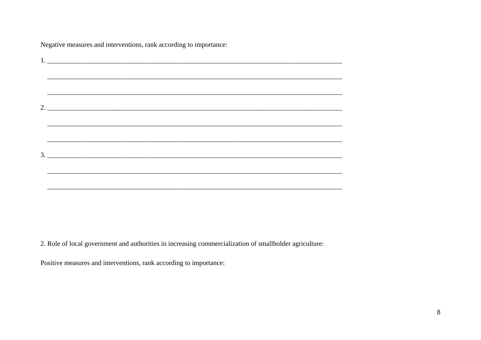| 1. |
|----|
|    |
|    |
|    |
|    |
|    |
| 3. |
|    |
|    |

Negative measures and interventions, rank according to importance:

2. Role of local government and authorities in increasing commercialization of smallholder agriculture:

Positive measures and interventions, rank according to importance: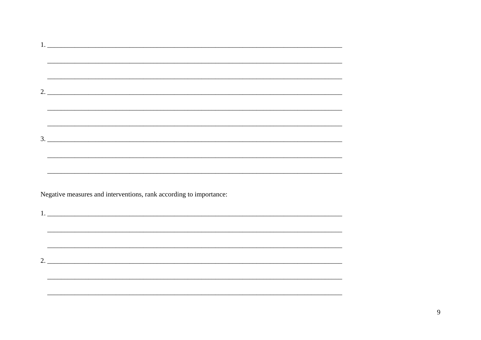| 1. |                                                                                   |
|----|-----------------------------------------------------------------------------------|
|    |                                                                                   |
|    |                                                                                   |
|    |                                                                                   |
|    |                                                                                   |
|    |                                                                                   |
|    |                                                                                   |
|    |                                                                                   |
|    | 2.                                                                                |
|    |                                                                                   |
|    |                                                                                   |
|    |                                                                                   |
|    |                                                                                   |
|    |                                                                                   |
|    |                                                                                   |
|    |                                                                                   |
|    | 3.                                                                                |
|    |                                                                                   |
|    |                                                                                   |
|    |                                                                                   |
|    |                                                                                   |
|    |                                                                                   |
|    |                                                                                   |
|    |                                                                                   |
|    |                                                                                   |
|    | Negative measures and interventions, rank according to importance:                |
|    |                                                                                   |
|    |                                                                                   |
|    |                                                                                   |
|    |                                                                                   |
|    |                                                                                   |
|    | ,我们也不能在这里的时候,我们也不能在这里的时候,我们也不能会在这里的时候,我们也不能会在这里的时候,我们也不能会在这里的时候,我们也不能会在这里的时候,我们也不 |
|    |                                                                                   |
|    |                                                                                   |
|    |                                                                                   |
|    |                                                                                   |
|    |                                                                                   |
|    |                                                                                   |
|    |                                                                                   |
|    |                                                                                   |
|    |                                                                                   |
|    |                                                                                   |
|    |                                                                                   |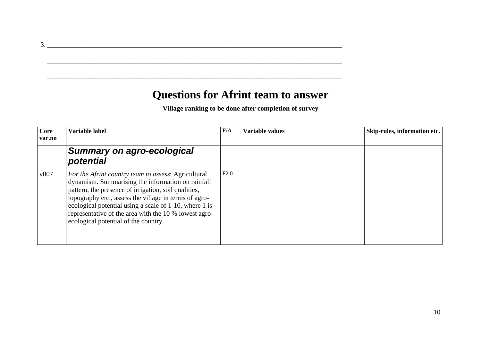### **Questions for Afrint team to answer**

\_\_\_\_\_\_\_\_\_\_\_\_\_\_\_\_\_\_\_\_\_\_\_\_\_\_\_\_\_\_\_\_\_\_\_\_\_\_\_\_\_\_\_\_\_\_\_\_\_\_\_\_\_\_\_\_\_\_\_\_\_\_\_\_\_\_\_\_\_\_\_\_\_\_\_\_\_\_\_\_\_\_\_\_\_\_

\_\_\_\_\_\_\_\_\_\_\_\_\_\_\_\_\_\_\_\_\_\_\_\_\_\_\_\_\_\_\_\_\_\_\_\_\_\_\_\_\_\_\_\_\_\_\_\_\_\_\_\_\_\_\_\_\_\_\_\_\_\_\_\_\_\_\_\_\_\_\_\_\_\_\_\_\_\_\_\_\_\_\_\_\_\_

**Village ranking to be done after completion of survey** 

| Core<br>var.no | Variable label                                                                                                                                                                                                                                                                                                                                                                       | F/A  | <b>Variable values</b> | Skip-rules, information etc. |
|----------------|--------------------------------------------------------------------------------------------------------------------------------------------------------------------------------------------------------------------------------------------------------------------------------------------------------------------------------------------------------------------------------------|------|------------------------|------------------------------|
|                | Summary on agro-ecological<br>potential                                                                                                                                                                                                                                                                                                                                              |      |                        |                              |
| v007           | For the Afrint country team to assess: Agricultural<br>dynamism. Summarising the information on rainfall<br>pattern, the presence of irrigation, soil qualities,<br>topography etc., assess the village in terms of agro-<br>ecological potential using a scale of 1-10, where 1 is<br>representative of the area with the 10 % lowest agro-<br>ecological potential of the country. | F2.0 |                        |                              |

3. \_\_\_\_\_\_\_\_\_\_\_\_\_\_\_\_\_\_\_\_\_\_\_\_\_\_\_\_\_\_\_\_\_\_\_\_\_\_\_\_\_\_\_\_\_\_\_\_\_\_\_\_\_\_\_\_\_\_\_\_\_\_\_\_\_\_\_\_\_\_\_\_\_\_\_\_\_\_\_\_\_\_\_\_\_\_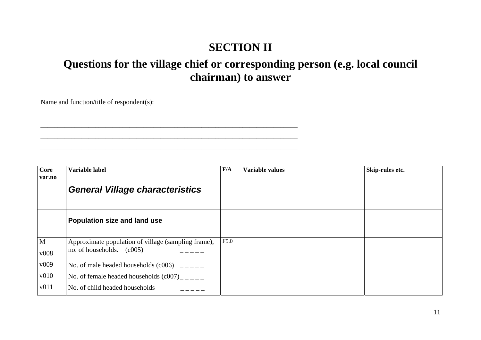## **SECTION II**

## **Questions for the village chief or corresponding person (e.g. local council chairman) to answer**

Name and function/title of respondent(s):

\_\_\_\_\_\_\_\_\_\_\_\_\_\_\_\_\_\_\_\_\_\_\_\_\_\_\_\_\_\_\_\_\_\_\_\_\_\_\_\_\_\_\_\_\_\_\_\_\_\_\_\_\_\_\_\_\_\_\_\_\_\_\_\_\_\_\_\_\_\_\_\_\_\_\_

\_\_\_\_\_\_\_\_\_\_\_\_\_\_\_\_\_\_\_\_\_\_\_\_\_\_\_\_\_\_\_\_\_\_\_\_\_\_\_\_\_\_\_\_\_\_\_\_\_\_\_\_\_\_\_\_\_\_\_\_\_\_\_\_\_\_\_\_\_\_\_\_\_\_\_  $\mathcal{L}_\text{max} = \mathcal{L}_\text{max} = \mathcal{L}_\text{max} = \mathcal{L}_\text{max} = \mathcal{L}_\text{max} = \mathcal{L}_\text{max} = \mathcal{L}_\text{max} = \mathcal{L}_\text{max} = \mathcal{L}_\text{max} = \mathcal{L}_\text{max} = \mathcal{L}_\text{max} = \mathcal{L}_\text{max} = \mathcal{L}_\text{max} = \mathcal{L}_\text{max} = \mathcal{L}_\text{max} = \mathcal{L}_\text{max} = \mathcal{L}_\text{max} = \mathcal{L}_\text{max} = \mathcal{$ 

| Core         | Variable label                                      | F/A  | <b>Variable values</b> | Skip-rules etc. |
|--------------|-----------------------------------------------------|------|------------------------|-----------------|
| var.no       |                                                     |      |                        |                 |
|              | <b>General Village characteristics</b>              |      |                        |                 |
|              |                                                     |      |                        |                 |
|              | Population size and land use                        |      |                        |                 |
| $\mathbf{M}$ | Approximate population of village (sampling frame), | F5.0 |                        |                 |
| v008         | no. of households. $(c005)$                         |      |                        |                 |
| v009         | No. of male headed households $(c006)$ ____         |      |                        |                 |
| v010         | No. of female headed households $(c007)$ ____       |      |                        |                 |
| $\sqrt{011}$ | No. of child headed households                      |      |                        |                 |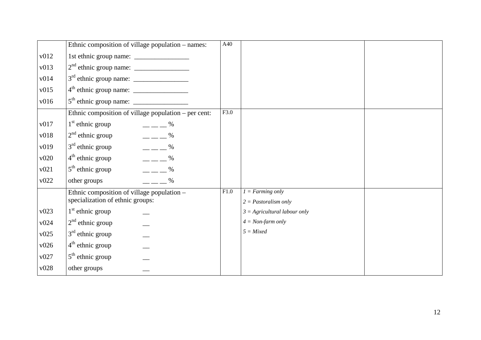|      | Ethnic composition of village population – names:    | A40  |                                |  |
|------|------------------------------------------------------|------|--------------------------------|--|
| v012 |                                                      |      |                                |  |
| v013 |                                                      |      |                                |  |
| v014 |                                                      |      |                                |  |
| v015 |                                                      |      |                                |  |
| v016 |                                                      |      |                                |  |
|      | Ethnic composition of village population - per cent: | F3.0 |                                |  |
| v017 | $1st$ ethnic group<br>$-  \frac{9}{6}$               |      |                                |  |
| v018 | $- - -$ %<br>$2nd$ ethnic group                      |      |                                |  |
| v019 | $- - -$ %<br>$3rd$ ethnic group                      |      |                                |  |
| v020 | $- - -$ %<br>$4th$ ethnic group                      |      |                                |  |
| v021 | $- - -$ %<br>$5th$ ethnic group                      |      |                                |  |
| v022 | $  \frac{\%}{\%}$<br>other groups                    |      |                                |  |
|      | Ethnic composition of village population –           | F1.0 | $I = Farming only$             |  |
|      | specialization of ethnic groups:                     |      | $2 =$ Pastoralism only         |  |
| v023 | $1st$ ethnic group                                   |      | $3 =$ Agricultural labour only |  |
| v024 | $2nd$ ethnic group                                   |      | $4 = Non-farm only$            |  |
| v025 | $3rd$ ethnic group                                   |      | $5 = Mixed$                    |  |
| v026 | $4th$ ethnic group                                   |      |                                |  |
| v027 | $5th$ ethnic group                                   |      |                                |  |
| v028 | other groups                                         |      |                                |  |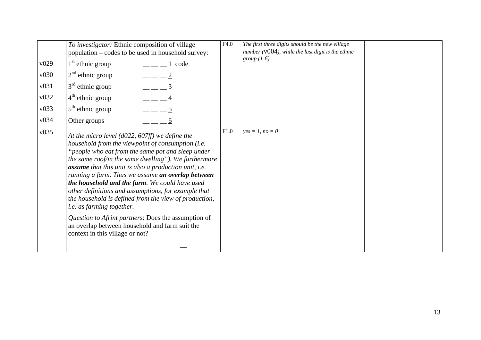| v029<br>v030<br>v031<br>v032<br>v033<br>v034 | To investigator: Ethnic composition of village<br>population – codes to be used in household survey:<br>$1st$ ethnic group<br>$\frac{1}{2}$ = $\frac{1}{2}$ code<br>$2nd$ ethnic group<br>$   2$<br>$   3$<br>$3rd$ ethnic group<br>$- - 4$<br>$4th$ ethnic group<br>$  5$<br>$5th$ ethnic group<br>Other groups<br>6                                                                                                                                                                                                                                                                                                                                                                   | F4.0 | The first three digits should be the new village<br>number ( $v004$ ), while the last digit is the ethnic<br>group $(1-6)$ . |  |
|----------------------------------------------|-----------------------------------------------------------------------------------------------------------------------------------------------------------------------------------------------------------------------------------------------------------------------------------------------------------------------------------------------------------------------------------------------------------------------------------------------------------------------------------------------------------------------------------------------------------------------------------------------------------------------------------------------------------------------------------------|------|------------------------------------------------------------------------------------------------------------------------------|--|
| v035                                         | At the micro level ( $d022$ , $607$ ff) we define the<br>household from the viewpoint of consumption (i.e.<br>"people who eat from the same pot and sleep under<br>the same roof/in the same dwelling"). We furthermore<br>assume that this unit is also a production unit, i.e.<br>running a farm. Thus we assume an overlap between<br>the household and the farm. We could have used<br>other definitions and assumptions, for example that<br>the household is defined from the view of production,<br><i>i.e.</i> as farming together.<br>Question to Afrint partners: Does the assumption of<br>an overlap between household and farm suit the<br>context in this village or not? | F1.0 | $yes = 1, no = 0$                                                                                                            |  |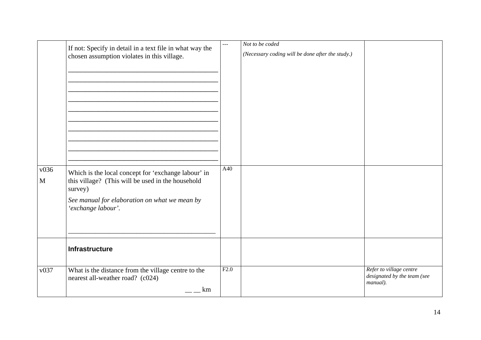|                      | If not: Specify in detail in a text file in what way the<br>chosen assumption violates in this village.                                                                                    | ---  | Not to be coded<br>(Necessary coding will be done after the study.) |                                                                    |
|----------------------|--------------------------------------------------------------------------------------------------------------------------------------------------------------------------------------------|------|---------------------------------------------------------------------|--------------------------------------------------------------------|
| v036<br>$\mathbf{M}$ | Which is the local concept for 'exchange labour' in<br>this village? (This will be used in the household<br>survey)<br>See manual for elaboration on what we mean by<br>'exchange labour'. | A40  |                                                                     |                                                                    |
|                      | Infrastructure                                                                                                                                                                             |      |                                                                     |                                                                    |
| v037                 | What is the distance from the village centre to the<br>nearest all-weather road? (c024)<br>km                                                                                              | F2.0 |                                                                     | Refer to village centre<br>designated by the team (see<br>manual). |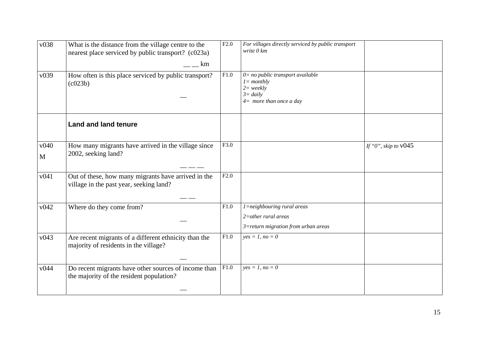| v038                | What is the distance from the village centre to the<br>nearest place serviced by public transport? (c023a)<br>km | F2.0 | For villages directly serviced by public transport<br>write 0 km                                                       |                        |
|---------------------|------------------------------------------------------------------------------------------------------------------|------|------------------------------------------------------------------------------------------------------------------------|------------------------|
| v039                | How often is this place serviced by public transport?<br>(c023b)                                                 | F1.0 | $0=$ no public transport available<br>$l = monthly$<br>$2 = \text{weakly}$<br>$3 = daily$<br>$4=$ more than once a day |                        |
|                     | <b>Land and land tenure</b>                                                                                      |      |                                                                                                                        |                        |
| v040<br>$\mathbf M$ | How many migrants have arrived in the village since<br>2002, seeking land?                                       | F3.0 |                                                                                                                        | If "0", skip to $v045$ |
| v041                | Out of these, how many migrants have arrived in the<br>village in the past year, seeking land?                   | F2.0 |                                                                                                                        |                        |
| v042                | Where do they come from?                                                                                         | F1.0 | $1 =$ neighbouring rural areas<br>$2$ =other rural areas<br>3=return migration from urban areas                        |                        |
| v043                | Are recent migrants of a different ethnicity than the<br>majority of residents in the village?                   | F1.0 | $yes = 1, no = 0$                                                                                                      |                        |
| v044                | Do recent migrants have other sources of income than<br>the majority of the resident population?                 | F1.0 | $yes = 1, no = 0$                                                                                                      |                        |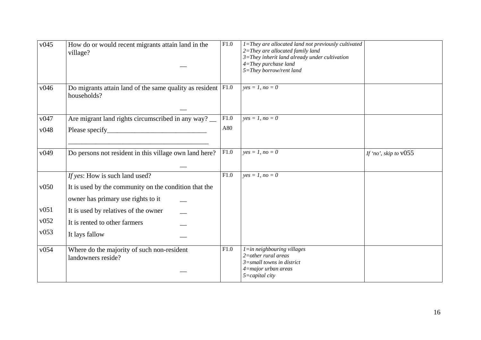| v045 | How do or would recent migrants attain land in the<br>village?                              | $\overline{F1.0}$ | $1 =$ They are allocated land not previously cultivated<br>$2 = They$ are allocated family land<br>$3 =$ They inherit land already under cultivation<br>$4 = They$ purchase land<br>5=They borrow/rent land |                         |
|------|---------------------------------------------------------------------------------------------|-------------------|-------------------------------------------------------------------------------------------------------------------------------------------------------------------------------------------------------------|-------------------------|
| v046 | Do migrants attain land of the same quality as resident $ F1.0\rangle$<br>households?       |                   | $yes = 1, no = 0$                                                                                                                                                                                           |                         |
| v047 | Are migrant land rights circumscribed in any way?                                           | F1.0              | $ves = 1, no = 0$                                                                                                                                                                                           |                         |
| v048 |                                                                                             | A80               |                                                                                                                                                                                                             |                         |
| v049 | Do persons not resident in this village own land here?                                      | F1.0              | $yes = 1, no = 0$                                                                                                                                                                                           | If 'no', skip to $v055$ |
|      | If yes: How is such land used?                                                              | $\overline{F1.0}$ | $ves = 1, no = 0$                                                                                                                                                                                           |                         |
| v050 | It is used by the community on the condition that the<br>owner has primary use rights to it |                   |                                                                                                                                                                                                             |                         |
| v051 | It is used by relatives of the owner                                                        |                   |                                                                                                                                                                                                             |                         |
| v052 | It is rented to other farmers                                                               |                   |                                                                                                                                                                                                             |                         |
| v053 | It lays fallow                                                                              |                   |                                                                                                                                                                                                             |                         |
| v054 | Where do the majority of such non-resident<br>landowners reside?                            | F1.0              | $l = in$ neighbouring villages<br>$2$ =other rural areas<br>$3 =$ small towns in district                                                                                                                   |                         |
|      |                                                                                             |                   | $4$ =major urban areas<br>$5 = capital city$                                                                                                                                                                |                         |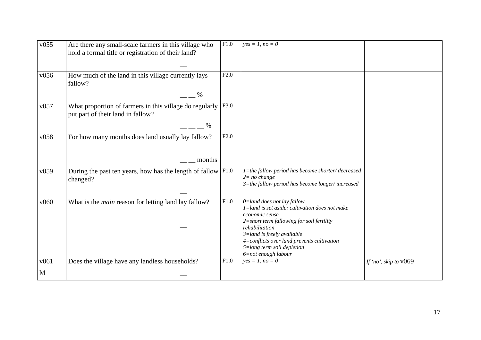| v055      | Are there any small-scale farmers in this village who<br>hold a formal title or registration of their land? | F1.0 | $yes = 1, no = 0$                                                                                                                                                                                                                                                                                        |                         |
|-----------|-------------------------------------------------------------------------------------------------------------|------|----------------------------------------------------------------------------------------------------------------------------------------------------------------------------------------------------------------------------------------------------------------------------------------------------------|-------------------------|
| v056      | How much of the land in this village currently lays<br>fallow?<br>%                                         | F2.0 |                                                                                                                                                                                                                                                                                                          |                         |
| v057      | What proportion of farmers in this village do regularly<br>put part of their land in fallow?<br>$\%$        | F3.0 |                                                                                                                                                                                                                                                                                                          |                         |
| v058      | For how many months does land usually lay fallow?<br>months                                                 | F2.0 |                                                                                                                                                                                                                                                                                                          |                         |
| v059      | During the past ten years, how has the length of fallow $ F1.0\rangle$<br>changed?                          |      | 1=the fallow period has become shorter/decreased<br>$2 = no change$<br>$3$ =the fallow period has become longer/increased                                                                                                                                                                                |                         |
| v060      | What is the <i>main</i> reason for letting land lay fallow?                                                 | F1.0 | $0$ =land does not lay fallow<br>$1$ =land is set aside: cultivation does not make<br>economic sense<br>2=short term fallowing for soil fertility<br>rehabilitation<br>$3 =$ land is freely available<br>4=conflicts over land prevents cultivation<br>5=long term soil depletion<br>6=not enough labour |                         |
| v061<br>M | Does the village have any landless households?                                                              | F1.0 | $yes = 1, no = 0$                                                                                                                                                                                                                                                                                        | If 'no', skip to $v069$ |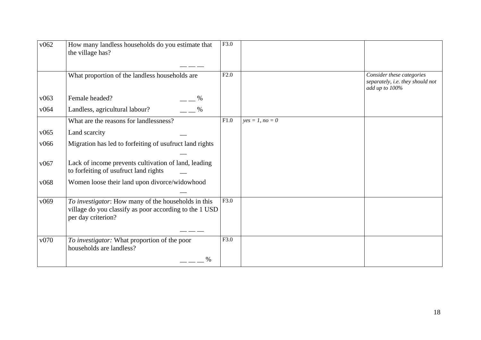| v062 | How many landless households do you estimate that<br>the village has?                                                               | F3.0 |                   |                                                                                 |
|------|-------------------------------------------------------------------------------------------------------------------------------------|------|-------------------|---------------------------------------------------------------------------------|
|      | What proportion of the landless households are                                                                                      | F2.0 |                   | Consider these categories<br>separately, i.e. they should not<br>add up to 100% |
| v063 | Female headed?<br>$\%$                                                                                                              |      |                   |                                                                                 |
| v064 | $\%$<br>Landless, agricultural labour?                                                                                              |      |                   |                                                                                 |
|      | What are the reasons for landlessness?                                                                                              | F1.0 | $yes = 1, no = 0$ |                                                                                 |
| v065 | Land scarcity                                                                                                                       |      |                   |                                                                                 |
| v066 | Migration has led to forfeiting of usufruct land rights                                                                             |      |                   |                                                                                 |
| v067 | Lack of income prevents cultivation of land, leading<br>to forfeiting of usufruct land rights                                       |      |                   |                                                                                 |
| v068 | Women loose their land upon divorce/widowhood                                                                                       |      |                   |                                                                                 |
| v069 | To investigator: How many of the households in this<br>village do you classify as poor according to the 1 USD<br>per day criterion? | F3.0 |                   |                                                                                 |
| v070 | To investigator: What proportion of the poor<br>households are landless?                                                            | F3.0 |                   |                                                                                 |
|      | $\frac{0}{0}$                                                                                                                       |      |                   |                                                                                 |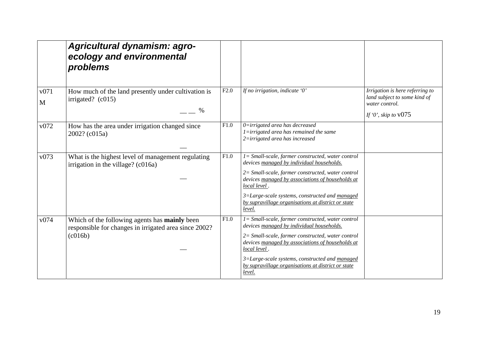|           | Agricultural dynamism: agro-<br>ecology and environmental<br>problems                                                    |      |                                                                                                                                                                                                                                                                                                                                              |                                                                                                             |
|-----------|--------------------------------------------------------------------------------------------------------------------------|------|----------------------------------------------------------------------------------------------------------------------------------------------------------------------------------------------------------------------------------------------------------------------------------------------------------------------------------------------|-------------------------------------------------------------------------------------------------------------|
| v071<br>M | How much of the land presently under cultivation is<br>irrigated? $(c015)$<br>%                                          | F2.0 | If no irrigation, indicate '0'                                                                                                                                                                                                                                                                                                               | Irrigation is here referring to<br>land subject to some kind of<br>water control.<br>If '0', skip to $v075$ |
| v072      | How has the area under irrigation changed since<br>2002? (c015a)                                                         | F1.0 | 0=irrigated area has decreased<br>$1 =$ irrigated area has remained the same<br>2=irrigated area has increased                                                                                                                                                                                                                               |                                                                                                             |
| v073      | What is the highest level of management regulating<br>irrigation in the village? (c016a)                                 | F1.0 | $l = Small-scale, farmer constructed, water control$<br>devices managed by individual households.<br>2= Small-scale, farmer constructed, water control<br>devices managed by associations of households at<br>local level.<br>3=Large-scale systems, constructed and managed<br>by supravillage organisations at district or state<br>level. |                                                                                                             |
| v074      | Which of the following agents has <b>mainly</b> been<br>responsible for changes in irrigated area since 2002?<br>(c016b) | F1.0 | 1= Small-scale, farmer constructed, water control<br>devices managed by individual households.<br>2= Small-scale, farmer constructed, water control<br>devices managed by associations of households at<br>local level.<br>3=Large-scale systems, constructed and managed<br>by supravillage organisations at district or state<br>level.    |                                                                                                             |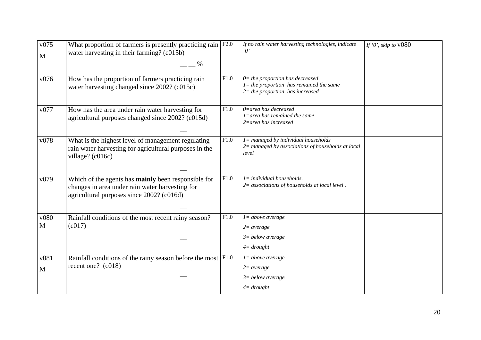| v075<br>$\mathbf{M}$ | What proportion of farmers is presently practicing rain $F2.0$<br>water harvesting in their farming? (c015b)<br>%                                          |      | If no rain water harvesting technologies, indicate                                                                     | If '0', skip to $v080$ |
|----------------------|------------------------------------------------------------------------------------------------------------------------------------------------------------|------|------------------------------------------------------------------------------------------------------------------------|------------------------|
| v076                 | How has the proportion of farmers practicing rain<br>water harvesting changed since 2002? (c015c)                                                          | F1.0 | $0$ = the proportion has decreased<br>$l =$ the proportion has remained the same<br>$2$ = the proportion has increased |                        |
| v077                 | How has the area under rain water harvesting for<br>agricultural purposes changed since 2002? (c015d)                                                      | F1.0 | $0$ =area has decreased<br>$1 =$ area has remained the same<br>$2 =$ area has increased                                |                        |
| v078                 | What is the highest level of management regulating<br>rain water harvesting for agricultural purposes in the<br>village? (c016c)                           | F1.0 | $l =$ managed by individual households<br>$2$ = managed by associations of households at local<br>level                |                        |
| v079                 | Which of the agents has <b>mainly</b> been responsible for<br>changes in area under rain water harvesting for<br>agricultural purposes since 2002? (c016d) | F1.0 | $I = individual$ households.<br>$2=$ associations of households at local level.                                        |                        |
| v080<br>M            | Rainfall conditions of the most recent rainy season?<br>(c017)                                                                                             | F1.0 | $l = above average$<br>$2 = average$<br>$3 = below average$<br>$4 = \frac{d}{}$                                        |                        |
| v081<br>M            | Rainfall conditions of the rainy season before the most $ F1.0\rangle$<br>recent one? (c018)                                                               |      | $l = above average$<br>$2 = average$<br>$3 = below average$<br>$4 = \frac{d}{}$                                        |                        |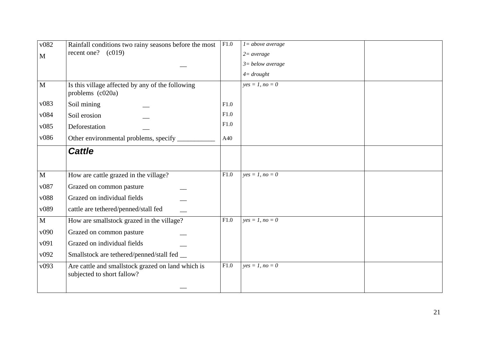| v082         | Rainfall conditions two rainy seasons before the most                           | F1.0 | $l = above average$ |  |
|--------------|---------------------------------------------------------------------------------|------|---------------------|--|
| $\mathbf{M}$ | recent one? $(c019)$                                                            |      | $2 = average$       |  |
|              |                                                                                 |      | $3 = below average$ |  |
|              |                                                                                 |      | $4 = \frac{d}{}$    |  |
| $\mathbf{M}$ | Is this village affected by any of the following<br>problems (c020a)            |      | $yes = 1, no = 0$   |  |
| v083         | Soil mining                                                                     | F1.0 |                     |  |
| v084         | Soil erosion                                                                    | F1.0 |                     |  |
| v085         | Deforestation                                                                   | F1.0 |                     |  |
| v086         | Other environmental problems, specify _                                         | A40  |                     |  |
|              | <b>Cattle</b>                                                                   |      |                     |  |
|              |                                                                                 |      |                     |  |
| $\mathbf{M}$ | How are cattle grazed in the village?                                           | F1.0 | $yes = 1, no = 0$   |  |
| v087         | Grazed on common pasture                                                        |      |                     |  |
| v088         | Grazed on individual fields                                                     |      |                     |  |
| v089         | cattle are tethered/penned/stall fed                                            |      |                     |  |
| $\mathbf M$  | How are smallstock grazed in the village?                                       | F1.0 | $yes = 1, no = 0$   |  |
| v090         | Grazed on common pasture                                                        |      |                     |  |
| v091         | Grazed on individual fields                                                     |      |                     |  |
| v092         | Smallstock are tethered/penned/stall fed __                                     |      |                     |  |
| v093         | Are cattle and smallstock grazed on land which is<br>subjected to short fallow? | F1.0 | $yes = 1, no = 0$   |  |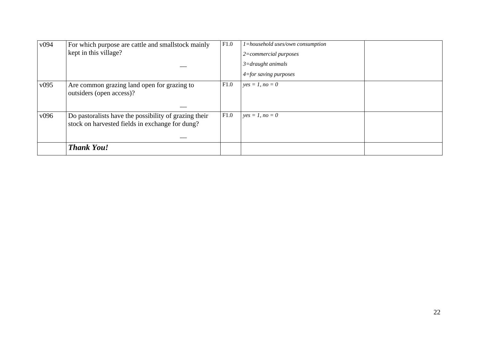|                  | <b>Thank You!</b>                                                                                        |      |                                                                                                                         |  |
|------------------|----------------------------------------------------------------------------------------------------------|------|-------------------------------------------------------------------------------------------------------------------------|--|
| v096             | Do pastoralists have the possibility of grazing their<br>stock on harvested fields in exchange for dung? | F1.0 | $yes = 1, no = 0$                                                                                                       |  |
| v095             | Are common grazing land open for grazing to<br>outsiders (open access)?                                  | F1.0 | $yes = 1, no = 0$                                                                                                       |  |
| v <sub>094</sub> | For which purpose are cattle and smallstock mainly<br>kept in this village?                              | F1.0 | 1=household uses/own consumption<br>$2=commercial$ purposes<br>$3 =$ draught animals<br>$4 = for \, saving \, purposes$ |  |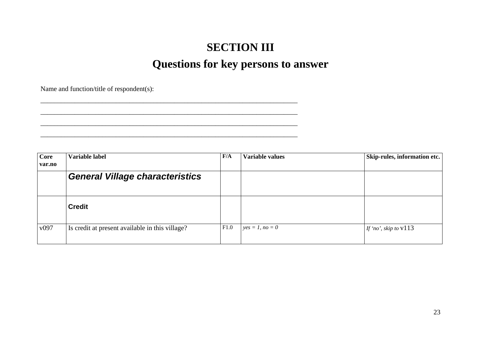# **SECTION III Questions for key persons to answer**

Name and function/title of respondent(s):

\_\_\_\_\_\_\_\_\_\_\_\_\_\_\_\_\_\_\_\_\_\_\_\_\_\_\_\_\_\_\_\_\_\_\_\_\_\_\_\_\_\_\_\_\_\_\_\_\_\_\_\_\_\_\_\_\_\_\_\_\_\_\_\_\_\_\_\_\_\_\_\_\_\_\_ \_\_\_\_\_\_\_\_\_\_\_\_\_\_\_\_\_\_\_\_\_\_\_\_\_\_\_\_\_\_\_\_\_\_\_\_\_\_\_\_\_\_\_\_\_\_\_\_\_\_\_\_\_\_\_\_\_\_\_\_\_\_\_\_\_\_\_\_\_\_\_\_\_\_\_  $\mathcal{L}_\text{max} = \mathcal{L}_\text{max} = \mathcal{L}_\text{max} = \mathcal{L}_\text{max} = \mathcal{L}_\text{max} = \mathcal{L}_\text{max} = \mathcal{L}_\text{max} = \mathcal{L}_\text{max} = \mathcal{L}_\text{max} = \mathcal{L}_\text{max} = \mathcal{L}_\text{max} = \mathcal{L}_\text{max} = \mathcal{L}_\text{max} = \mathcal{L}_\text{max} = \mathcal{L}_\text{max} = \mathcal{L}_\text{max} = \mathcal{L}_\text{max} = \mathcal{L}_\text{max} = \mathcal{$ 

**Core var.no Variable label F/A Variable values Skip-rules, information etc.**  *General Village characteristics*  **Credit**  v097 Is credit at present available in this village? F1.0  $yes = 1, no = 0$  If 'no', skip to v113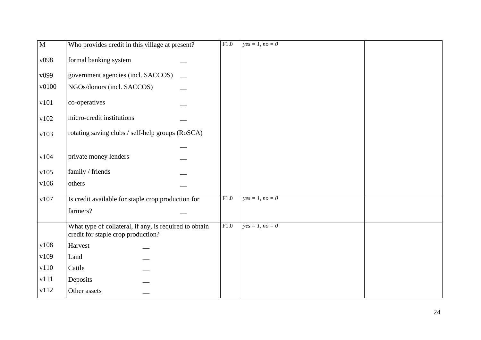| $\overline{M}$ | Who provides credit in this village at present?                                              | F1.0 | $yes = 1, no = 0$ |  |
|----------------|----------------------------------------------------------------------------------------------|------|-------------------|--|
| v098           | formal banking system                                                                        |      |                   |  |
| v099           | government agencies (incl. SACCOS)                                                           |      |                   |  |
| v0100          | NGOs/donors (incl. SACCOS)                                                                   |      |                   |  |
| v101           | co-operatives                                                                                |      |                   |  |
| v102           | micro-credit institutions                                                                    |      |                   |  |
| v103           | rotating saving clubs / self-help groups (RoSCA)                                             |      |                   |  |
|                |                                                                                              |      |                   |  |
| v104           | private money lenders                                                                        |      |                   |  |
| v105           | family / friends                                                                             |      |                   |  |
| v106           | others                                                                                       |      |                   |  |
| v107           | Is credit available for staple crop production for                                           | F1.0 | $yes = 1, no = 0$ |  |
|                | farmers?                                                                                     |      |                   |  |
|                | What type of collateral, if any, is required to obtain<br>credit for staple crop production? | F1.0 | $yes = 1, no = 0$ |  |
| v108           | Harvest                                                                                      |      |                   |  |
| v109           | Land                                                                                         |      |                   |  |
| v110           | Cattle                                                                                       |      |                   |  |
| v111           | Deposits                                                                                     |      |                   |  |
| v112           | Other assets                                                                                 |      |                   |  |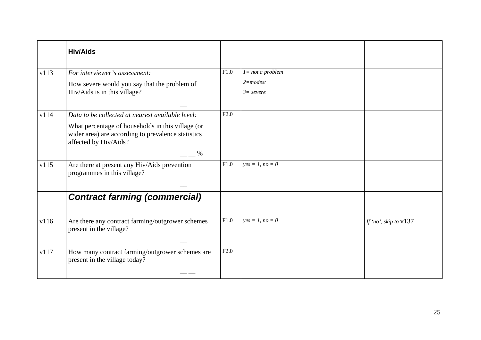|      | <b>Hiv/Aids</b>                                                                                                                                                                              |      |                             |                         |
|------|----------------------------------------------------------------------------------------------------------------------------------------------------------------------------------------------|------|-----------------------------|-------------------------|
| v113 | For interviewer's assessment:                                                                                                                                                                | F1.0 | $l = not a problem$         |                         |
|      | How severe would you say that the problem of<br>Hiv/Aids is in this village?                                                                                                                 |      | $2$ =modest<br>$3 = severe$ |                         |
| v114 | Data to be collected at nearest available level:<br>What percentage of households in this village (or<br>wider area) are according to prevalence statistics<br>affected by Hiv/Aids?<br>$\%$ | F2.0 |                             |                         |
| v115 | Are there at present any Hiv/Aids prevention<br>programmes in this village?                                                                                                                  | F1.0 | $yes = 1, no = 0$           |                         |
|      | <b>Contract farming (commercial)</b>                                                                                                                                                         |      |                             |                         |
| v116 | Are there any contract farming/outgrower schemes<br>present in the village?                                                                                                                  | F1.0 | $yes = 1, no = 0$           | If 'no', skip to $v137$ |
| v117 | How many contract farming/outgrower schemes are<br>present in the village today?                                                                                                             | F2.0 |                             |                         |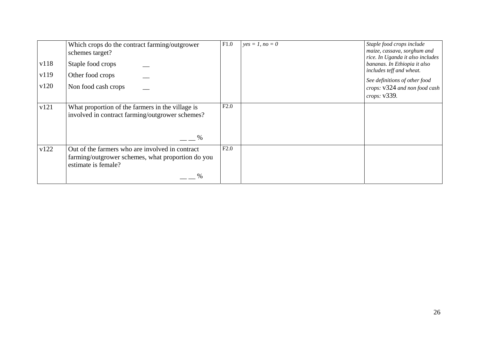|      | Which crops do the contract farming/outgrower<br>schemes target?                                                            | F1.0 | $yes = 1, no = 0$ | Staple food crops include<br>maize, cassava, sorghum and<br>rice. In Uganda it also includes |
|------|-----------------------------------------------------------------------------------------------------------------------------|------|-------------------|----------------------------------------------------------------------------------------------|
| v118 | Staple food crops                                                                                                           |      |                   | bananas. In Ethiopia it also<br>includes teff and wheat.                                     |
| v119 | Other food crops                                                                                                            |      |                   | See definitions of other food                                                                |
| v120 | Non food cash crops                                                                                                         |      |                   | crops: v324 and non food cash<br>crops: v339.                                                |
| v121 | What proportion of the farmers in the village is<br>involved in contract farming/outgrower schemes?                         | F2.0 |                   |                                                                                              |
|      | $\%$                                                                                                                        |      |                   |                                                                                              |
| v122 | Out of the farmers who are involved in contract<br>farming/outgrower schemes, what proportion do you<br>estimate is female? | F2.0 |                   |                                                                                              |
|      | %                                                                                                                           |      |                   |                                                                                              |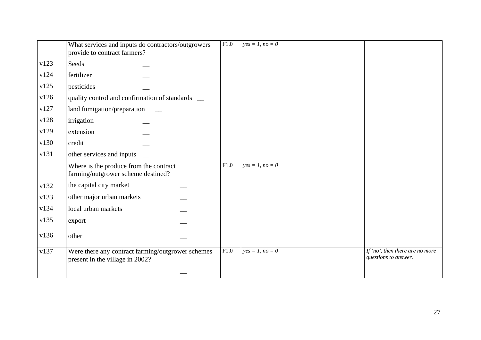|      | What services and inputs do contractors/outgrowers<br>provide to contract farmers?   | F1.0 | $yes = 1, no = 0$ |                                                         |
|------|--------------------------------------------------------------------------------------|------|-------------------|---------------------------------------------------------|
| v123 | Seeds                                                                                |      |                   |                                                         |
| v124 | fertilizer                                                                           |      |                   |                                                         |
| v125 | pesticides                                                                           |      |                   |                                                         |
| v126 | quality control and confirmation of standards _                                      |      |                   |                                                         |
| v127 | land fumigation/preparation                                                          |      |                   |                                                         |
| v128 | irrigation                                                                           |      |                   |                                                         |
| v129 | extension                                                                            |      |                   |                                                         |
| v130 | credit                                                                               |      |                   |                                                         |
| v131 | other services and inputs                                                            |      |                   |                                                         |
|      | Where is the produce from the contract<br>farming/outgrower scheme destined?         | F1.0 | $yes = 1, no = 0$ |                                                         |
| v132 | the capital city market                                                              |      |                   |                                                         |
| v133 | other major urban markets                                                            |      |                   |                                                         |
| v134 | local urban markets                                                                  |      |                   |                                                         |
| v135 | export                                                                               |      |                   |                                                         |
| v136 | other                                                                                |      |                   |                                                         |
| v137 | Were there any contract farming/outgrower schemes<br>present in the village in 2002? | F1.0 | $yes = 1, no = 0$ | If 'no', then there are no more<br>questions to answer. |
|      |                                                                                      |      |                   |                                                         |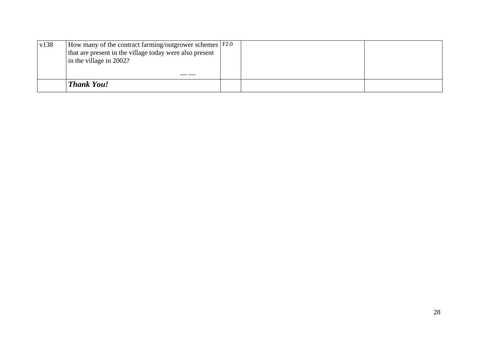| v138 | How many of the contract farming/outgrower schemes F2.0 |  |  |
|------|---------------------------------------------------------|--|--|
|      | that are present in the village today were also present |  |  |
|      | in the village in $2002$ ?                              |  |  |
|      |                                                         |  |  |
|      |                                                         |  |  |
|      | <b>Thank You!</b>                                       |  |  |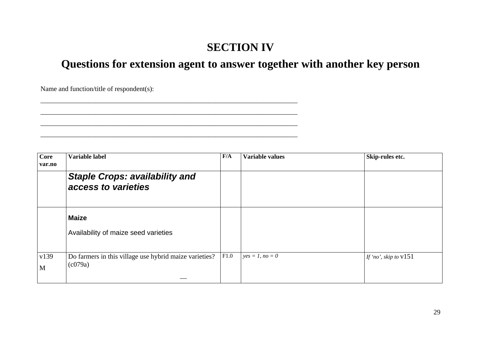## **SECTION IV**

**Questions for extension agent to answer together with another key person** 

Name and function/title of respondent(s):

\_\_\_\_\_\_\_\_\_\_\_\_\_\_\_\_\_\_\_\_\_\_\_\_\_\_\_\_\_\_\_\_\_\_\_\_\_\_\_\_\_\_\_\_\_\_\_\_\_\_\_\_\_\_\_\_\_\_\_\_\_\_\_\_\_\_\_\_\_\_\_\_\_\_\_ \_\_\_\_\_\_\_\_\_\_\_\_\_\_\_\_\_\_\_\_\_\_\_\_\_\_\_\_\_\_\_\_\_\_\_\_\_\_\_\_\_\_\_\_\_\_\_\_\_\_\_\_\_\_\_\_\_\_\_\_\_\_\_\_\_\_\_\_\_\_\_\_\_\_\_  $\mathcal{L}_\text{max} = \mathcal{L}_\text{max} = \mathcal{L}_\text{max} = \mathcal{L}_\text{max} = \mathcal{L}_\text{max} = \mathcal{L}_\text{max} = \mathcal{L}_\text{max} = \mathcal{L}_\text{max} = \mathcal{L}_\text{max} = \mathcal{L}_\text{max} = \mathcal{L}_\text{max} = \mathcal{L}_\text{max} = \mathcal{L}_\text{max} = \mathcal{L}_\text{max} = \mathcal{L}_\text{max} = \mathcal{L}_\text{max} = \mathcal{L}_\text{max} = \mathcal{L}_\text{max} = \mathcal{$ 

**Core var.noVariable label F/A Variable values Skip-rules etc.**  *Staple Crops: availability and access to varieties* **Maize**  Availability of maize seed varieties v139 MDo farmers in this village use hybrid maize varieties? (c079a) F1.0 $yes = 1, no = 0$  *If 'no', skip to*  $v151$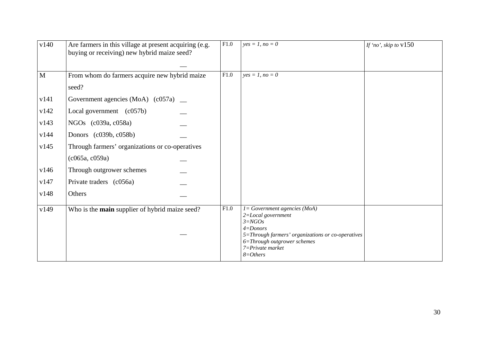| v140         | Are farmers in this village at present acquiring (e.g.<br>buying or receiving) new hybrid maize seed? | F1.0 | $yes = 1, no = 0$                                                                                                                                                                                        | If 'no', skip to $v150$ |
|--------------|-------------------------------------------------------------------------------------------------------|------|----------------------------------------------------------------------------------------------------------------------------------------------------------------------------------------------------------|-------------------------|
| $\mathbf{M}$ | From whom do farmers acquire new hybrid maize<br>seed?                                                | F1.0 | $yes = 1, no = 0$                                                                                                                                                                                        |                         |
| v141         | Government agencies (MoA) $(c057a)$ _                                                                 |      |                                                                                                                                                                                                          |                         |
| v142         | Local government (c057b)                                                                              |      |                                                                                                                                                                                                          |                         |
| v143         | NGOs (c039a, c058a)                                                                                   |      |                                                                                                                                                                                                          |                         |
| v144         | Donors (c039b, c058b)                                                                                 |      |                                                                                                                                                                                                          |                         |
| v145         | Through farmers' organizations or co-operatives                                                       |      |                                                                                                                                                                                                          |                         |
|              | (c065a, c059a)                                                                                        |      |                                                                                                                                                                                                          |                         |
| v146         | Through outgrower schemes                                                                             |      |                                                                                                                                                                                                          |                         |
| v147         | Private traders (c056a)                                                                               |      |                                                                                                                                                                                                          |                         |
| v148         | Others                                                                                                |      |                                                                                                                                                                                                          |                         |
| v149         | Who is the main supplier of hybrid maize seed?                                                        | F1.0 | 1= Government agencies (MoA)<br>2=Local government<br>$3 = NGOs$<br>$4 =$ Donors<br>5=Through farmers' organizations or co-operatives<br>6=Through outgrower schemes<br>7=Private market<br>$8 = Others$ |                         |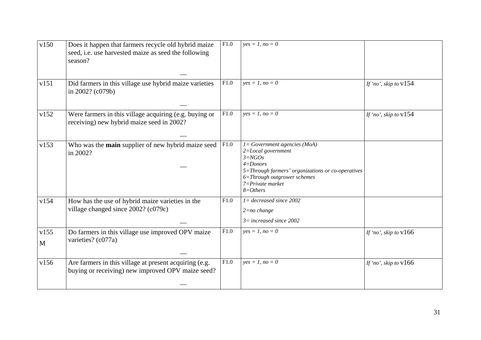| v150                 | Does it happen that farmers recycle old hybrid maize<br>seed, i.e. use harvested maize as seed the following<br>season? | F1.0 | $yes = 1, no = 0$                                                                                                                                                                                         |                         |
|----------------------|-------------------------------------------------------------------------------------------------------------------------|------|-----------------------------------------------------------------------------------------------------------------------------------------------------------------------------------------------------------|-------------------------|
| v151                 | Did farmers in this village use hybrid maize varieties<br>in 2002? (c079b)                                              | F1.0 | $yes = 1, no = 0$                                                                                                                                                                                         | If 'no', skip to $v154$ |
| v152                 | Were farmers in this village acquiring (e.g. buying or<br>receiving) new hybrid maize seed in 2002?                     | F1.0 | $yes = 1, no = 0$                                                                                                                                                                                         | If 'no', skip to $v154$ |
| v153                 | Who was the main supplier of new hybrid maize seed<br>in 2002?                                                          | F1.0 | 1 = Government agencies (MoA)<br>2=Local government<br>$3 = NGOs$<br>$4 =$ Donors<br>5=Through farmers' organizations or co-operatives<br>6=Through outgrower schemes<br>7=Private market<br>$8 = Others$ |                         |
| v154                 | How has the use of hybrid maize varieties in the<br>village changed since 2002? (c079c)                                 | F1.0 | $l = decreased$ since 2002<br>$2 = no \ change$<br>$3=$ increased since 2002                                                                                                                              |                         |
| v155<br>$\mathbf{M}$ | Do farmers in this village use improved OPV maize<br>varieties? (c077a)                                                 | F1.0 | $yes = 1, no = 0$                                                                                                                                                                                         | If 'no', skip to $v166$ |
| v156                 | Are farmers in this village at present acquiring (e.g.<br>buying or receiving) new improved OPV maize seed?             | F1.0 | $yes = 1, no = 0$                                                                                                                                                                                         | If 'no', skip to $v166$ |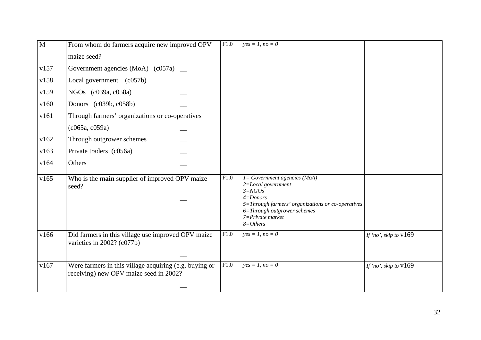| M    | From whom do farmers acquire new improved OPV                                                    | F1.0 | $yes = 1, no = 0$                                                                                                                                                                                                   |                         |
|------|--------------------------------------------------------------------------------------------------|------|---------------------------------------------------------------------------------------------------------------------------------------------------------------------------------------------------------------------|-------------------------|
|      | maize seed?                                                                                      |      |                                                                                                                                                                                                                     |                         |
| v157 | Government agencies (MoA) $(c057a)$ _                                                            |      |                                                                                                                                                                                                                     |                         |
| v158 | Local government (c057b)                                                                         |      |                                                                                                                                                                                                                     |                         |
| v159 | NGOs (c039a, c058a)                                                                              |      |                                                                                                                                                                                                                     |                         |
| v160 | Donors (c039b, c058b)                                                                            |      |                                                                                                                                                                                                                     |                         |
| v161 | Through farmers' organizations or co-operatives                                                  |      |                                                                                                                                                                                                                     |                         |
|      | (c065a, c059a)                                                                                   |      |                                                                                                                                                                                                                     |                         |
| v162 | Through outgrower schemes                                                                        |      |                                                                                                                                                                                                                     |                         |
| v163 | Private traders (c056a)                                                                          |      |                                                                                                                                                                                                                     |                         |
| v164 | Others                                                                                           |      |                                                                                                                                                                                                                     |                         |
| v165 | Who is the <b>main</b> supplier of improved OPV maize<br>seed?                                   | F1.0 | $I = Government\text{ agencies } (MoA)$<br>2=Local government<br>$3 = NGOs$<br>$4 =$ Donors<br>5=Through farmers' organizations or co-operatives<br>6=Through outgrower schemes<br>7=Private market<br>$8 = Others$ |                         |
| v166 | Did farmers in this village use improved OPV maize<br>varieties in 2002? (c077b)                 | F1.0 | $yes = 1, no = 0$                                                                                                                                                                                                   | If 'no', skip to $v169$ |
| v167 | Were farmers in this village acquiring (e.g. buying or<br>receiving) new OPV maize seed in 2002? | F1.0 | $yes = 1, no = 0$                                                                                                                                                                                                   | If 'no', skip to $v169$ |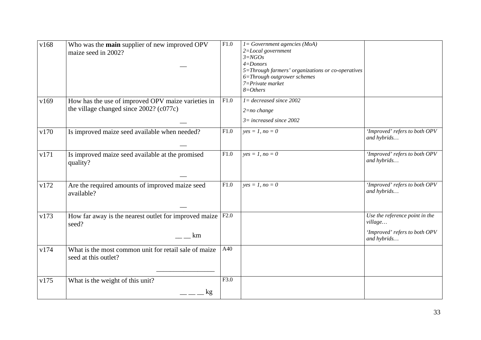| v168 | Who was the main supplier of new improved OPV<br>maize seed in 2002?                             | F1.0 | $I = Government\text{ agencies } (MoA)$<br>$2 = Local$ government<br>$3 = NGOs$<br>$4 =$ Donors<br>5=Through farmers' organizations or co-operatives<br>6=Through outgrower schemes<br>$7 = Private$ market<br>$8 = Others$<br>$I = decreased$ since 2002 |                                                                                           |
|------|--------------------------------------------------------------------------------------------------|------|-----------------------------------------------------------------------------------------------------------------------------------------------------------------------------------------------------------------------------------------------------------|-------------------------------------------------------------------------------------------|
| v169 | How has the use of improved OPV maize varieties in<br>the village changed since $2002$ ? (c077c) | F1.0 | $2 = no \ change$<br>$3 = increased$ since 2002                                                                                                                                                                                                           |                                                                                           |
| v170 | Is improved maize seed available when needed?                                                    | F1.0 | $yes = 1, no = 0$                                                                                                                                                                                                                                         | 'Improved' refers to both OPV<br>and hybrids                                              |
| v171 | Is improved maize seed available at the promised<br>quality?                                     | F1.0 | $yes = 1, no = 0$                                                                                                                                                                                                                                         | 'Improved' refers to both OPV<br>and hybrids                                              |
| v172 | Are the required amounts of improved maize seed<br>available?                                    | F1.0 | $yes = 1, no = 0$                                                                                                                                                                                                                                         | 'Improved' refers to both OPV<br>and hybrids                                              |
| v173 | How far away is the nearest outlet for improved maize<br>seed?<br>km                             | F2.0 |                                                                                                                                                                                                                                                           | Use the reference point in the<br>village<br>'Improved' refers to both OPV<br>and hybrids |
| v174 | What is the most common unit for retail sale of maize<br>seed at this outlet?                    | A40  |                                                                                                                                                                                                                                                           |                                                                                           |
| v175 | What is the weight of this unit?<br>kg                                                           | F3.0 |                                                                                                                                                                                                                                                           |                                                                                           |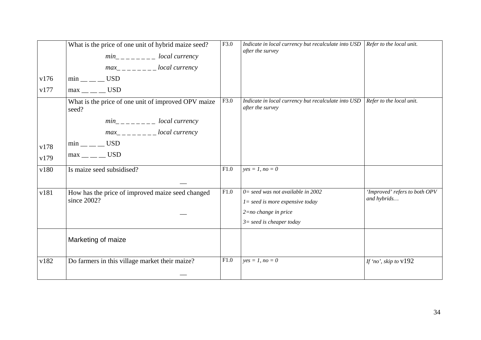| v176<br>v177 | What is the price of one unit of hybrid maize seed?<br>$min_{----}$ local currency<br>$max_{------}$ local currency<br>$min$ <sub>__</sub> __ USD<br>$max$ <sub>__</sub> ___ USD            | F3.0 | Indicate in local currency but recalculate into USD<br>after the survey                                                            | Refer to the local unit.                     |
|--------------|---------------------------------------------------------------------------------------------------------------------------------------------------------------------------------------------|------|------------------------------------------------------------------------------------------------------------------------------------|----------------------------------------------|
| v178<br>v179 | What is the price of one unit of improved OPV maize<br>seed?<br>$min_{------}$ local currency<br>$max_{------}$ local currency<br>$min$ <sub>__</sub> __ USD<br>$max$ <sub>__</sub> ___ USD | F3.0 | Indicate in local currency but recalculate into USD<br>after the survey                                                            | Refer to the local unit.                     |
| v180         | Is maize seed subsidised?                                                                                                                                                                   | F1.0 | $yes = 1, no = 0$                                                                                                                  |                                              |
| v181         | How has the price of improved maize seed changed<br>since 2002?                                                                                                                             | F1.0 | $0 = seed$ was not available in 2002<br>$l = seed$ is more expensive today<br>$2=no$ change in price<br>$3=$ seed is cheaper today | 'Improved' refers to both OPV<br>and hybrids |
|              | Marketing of maize                                                                                                                                                                          |      |                                                                                                                                    |                                              |
| v182         | Do farmers in this village market their maize?                                                                                                                                              | F1.0 | $yes = 1, no = 0$                                                                                                                  | If 'no', skip to v192                        |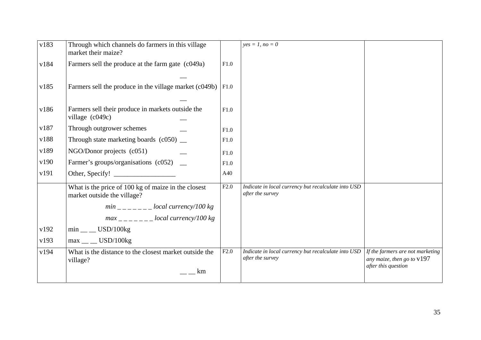| v183 | Through which channels do farmers in this village<br>market their maize?           |      | $yes = 1, no = 0$                                                       |                                                                                         |
|------|------------------------------------------------------------------------------------|------|-------------------------------------------------------------------------|-----------------------------------------------------------------------------------------|
| v184 | Farmers sell the produce at the farm gate (c049a)                                  | F1.0 |                                                                         |                                                                                         |
|      |                                                                                    |      |                                                                         |                                                                                         |
| v185 | Farmers sell the produce in the village market (c049b)                             | F1.0 |                                                                         |                                                                                         |
|      |                                                                                    |      |                                                                         |                                                                                         |
| v186 | Farmers sell their produce in markets outside the<br>village (c049c)               | F1.0 |                                                                         |                                                                                         |
| v187 | Through outgrower schemes                                                          | F1.0 |                                                                         |                                                                                         |
| v188 | Through state marketing boards $(c050)$ $\_\_$                                     | F1.0 |                                                                         |                                                                                         |
| v189 | $NGO/Donor$ projects $(c051)$                                                      | F1.0 |                                                                         |                                                                                         |
| v190 | Farmer's groups/organisations (c052) _                                             | F1.0 |                                                                         |                                                                                         |
| v191 | Other, Specify!                                                                    | A40  |                                                                         |                                                                                         |
|      | What is the price of 100 kg of maize in the closest<br>market outside the village? | F2.0 | Indicate in local currency but recalculate into USD<br>after the survey |                                                                                         |
|      | $min_{-}$ = $-$ = $-$ = $-$ local currency/100 kg                                  |      |                                                                         |                                                                                         |
|      | $max_{------}$ local currency/100 kg                                               |      |                                                                         |                                                                                         |
| v192 | $min$ <sub>__</sub> USD/100 $kg$                                                   |      |                                                                         |                                                                                         |
| v193 | $max$ <sub>__</sub> _ USD/100kg                                                    |      |                                                                         |                                                                                         |
| v194 | What is the distance to the closest market outside the<br>village?                 | F2.0 | Indicate in local currency but recalculate into USD<br>after the survey | If the farmers are not marketing<br>any maize, then go to $v197$<br>after this question |
|      | km                                                                                 |      |                                                                         |                                                                                         |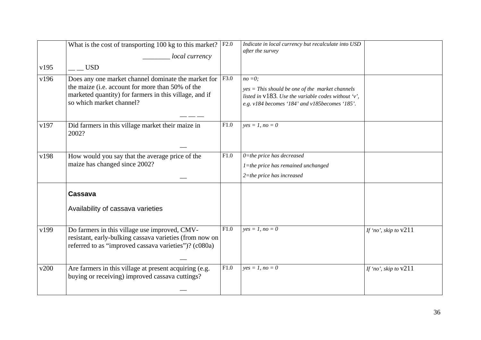|      | What is the cost of transporting 100 kg to this market?<br>local currency                                                                                                                     | F2.0 | Indicate in local currency but recalculate into USD<br>after the survey                                                                                                    |                         |
|------|-----------------------------------------------------------------------------------------------------------------------------------------------------------------------------------------------|------|----------------------------------------------------------------------------------------------------------------------------------------------------------------------------|-------------------------|
| v195 | <b>USD</b>                                                                                                                                                                                    |      |                                                                                                                                                                            |                         |
| v196 | Does any one market channel dominate the market for<br>the maize (i.e. account for more than 50% of the<br>marketed quantity) for farmers in this village, and if<br>so which market channel? | F3.0 | $no = 0;$<br>$yes = This should be one of the market channels$<br>listed in $v183$ . Use the variable codes without 'v',<br>e.g. v184 becomes '184' and v185becomes '185'. |                         |
| v197 | Did farmers in this village market their maize in<br>2002?                                                                                                                                    | F1.0 | $yes = 1, no = 0$                                                                                                                                                          |                         |
| v198 | How would you say that the average price of the<br>maize has changed since 2002?                                                                                                              | F1.0 | $0$ =the price has decreased<br>$l$ =the price has remained unchanged<br>$2$ =the price has increased                                                                      |                         |
|      | Cassava                                                                                                                                                                                       |      |                                                                                                                                                                            |                         |
|      | Availability of cassava varieties                                                                                                                                                             |      |                                                                                                                                                                            |                         |
| v199 | Do farmers in this village use improved, CMV-<br>resistant, early-bulking cassava varieties (from now on<br>referred to as "improved cassava varieties")? (c080a)                             | F1.0 | $yes = 1, no = 0$                                                                                                                                                          | If 'no', skip to $v211$ |
| v200 | Are farmers in this village at present acquiring (e.g.<br>buying or receiving) improved cassava cuttings?                                                                                     | F1.0 | $yes = 1, no = 0$                                                                                                                                                          | If 'no', skip to $v211$ |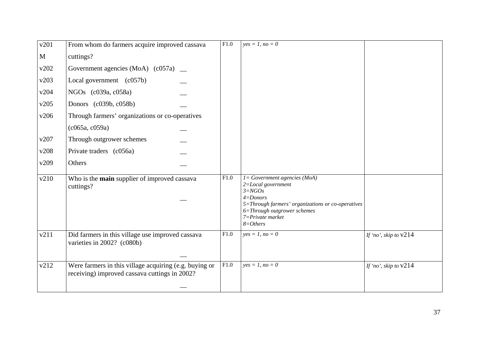| v201 | From whom do farmers acquire improved cassava                                                           | F1.0 | $yes = 1, no = 0$                                                                                                                                                                                                   |                         |
|------|---------------------------------------------------------------------------------------------------------|------|---------------------------------------------------------------------------------------------------------------------------------------------------------------------------------------------------------------------|-------------------------|
| M    | cuttings?                                                                                               |      |                                                                                                                                                                                                                     |                         |
| v202 | Government agencies (MoA) $(c057a)$ _                                                                   |      |                                                                                                                                                                                                                     |                         |
| v203 | Local government (c057b)                                                                                |      |                                                                                                                                                                                                                     |                         |
| v204 | NGOs (c039a, c058a)                                                                                     |      |                                                                                                                                                                                                                     |                         |
| v205 | Donors (c039b, c058b)                                                                                   |      |                                                                                                                                                                                                                     |                         |
| v206 | Through farmers' organizations or co-operatives                                                         |      |                                                                                                                                                                                                                     |                         |
|      | (c065a, c059a)                                                                                          |      |                                                                                                                                                                                                                     |                         |
| v207 | Through outgrower schemes                                                                               |      |                                                                                                                                                                                                                     |                         |
| v208 | Private traders (c056a)                                                                                 |      |                                                                                                                                                                                                                     |                         |
| v209 | Others                                                                                                  |      |                                                                                                                                                                                                                     |                         |
| v210 | Who is the main supplier of improved cassava<br>cuttings?                                               | F1.0 | $I = Government\text{ agencies } (MoA)$<br>2=Local government<br>$3 = NGOs$<br>$4 =$ Donors<br>5=Through farmers' organizations or co-operatives<br>6=Through outgrower schemes<br>7=Private market<br>$8 = Others$ |                         |
| v211 | Did farmers in this village use improved cassava<br>varieties in 2002? (c080b)                          | F1.0 | $yes = 1, no = 0$                                                                                                                                                                                                   | If 'no', skip to $v214$ |
| v212 | Were farmers in this village acquiring (e.g. buying or<br>receiving) improved cassava cuttings in 2002? | F1.0 | $yes = 1, no = 0$                                                                                                                                                                                                   | If 'no', skip to $v214$ |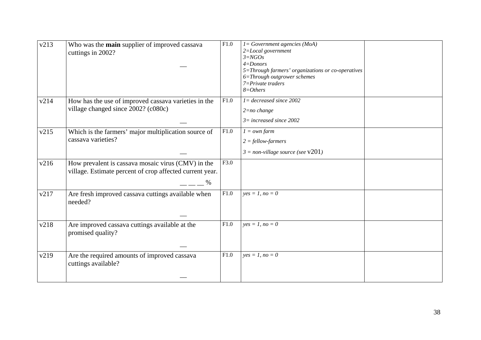| v213 | Who was the main supplier of improved cassava<br>cuttings in 2002?                                                     | F1.0 | $l = Government\text{ agencies } (MoA)$<br>2=Local government<br>$3 = NGOs$<br>$4 =$ Donors<br>5=Through farmers' organizations or co-operatives<br>6=Through outgrower schemes<br>$7 = Private\,t raders$<br>$8 = Others$ |  |
|------|------------------------------------------------------------------------------------------------------------------------|------|----------------------------------------------------------------------------------------------------------------------------------------------------------------------------------------------------------------------------|--|
| v214 | How has the use of improved cassava varieties in the<br>village changed since 2002? (c080c)                            | F1.0 | $I = decreased$ since 2002<br>$2 = no \ change$<br>$3=$ increased since 2002                                                                                                                                               |  |
| v215 | Which is the farmers' major multiplication source of<br>cassava varieties?                                             | F1.0 | $1 = own farm$<br>$2 = fellow-farmers$<br>$3 = non-village source$ (see $v201$ )                                                                                                                                           |  |
| v216 | How prevalent is cassava mosaic virus (CMV) in the<br>village. Estimate percent of crop affected current year.<br>$\%$ | F3.0 |                                                                                                                                                                                                                            |  |
| v217 | Are fresh improved cassava cuttings available when<br>needed?                                                          | F1.0 | $yes = 1, no = 0$                                                                                                                                                                                                          |  |
| v218 | Are improved cassava cuttings available at the<br>promised quality?                                                    | F1.0 | $yes = 1, no = 0$                                                                                                                                                                                                          |  |
| v219 | Are the required amounts of improved cassava<br>cuttings available?                                                    | F1.0 | $yes = 1, no = 0$                                                                                                                                                                                                          |  |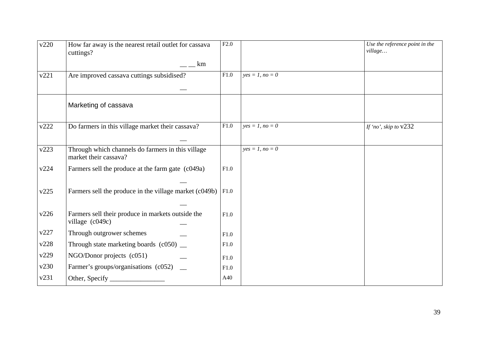| v220 | How far away is the nearest retail outlet for cassava<br>cuttings?<br>km   | F2.0 |                   | Use the reference point in the<br>village |
|------|----------------------------------------------------------------------------|------|-------------------|-------------------------------------------|
|      |                                                                            |      |                   |                                           |
| v221 | Are improved cassava cuttings subsidised?                                  | F1.0 | $yes = 1, no = 0$ |                                           |
|      |                                                                            |      |                   |                                           |
|      | Marketing of cassava                                                       |      |                   |                                           |
| v222 | Do farmers in this village market their cassava?                           | F1.0 | $yes = 1, no = 0$ | If 'no', skip to $v232$                   |
|      |                                                                            |      |                   |                                           |
| v223 | Through which channels do farmers in this village<br>market their cassava? |      | $yes = 1, no = 0$ |                                           |
| v224 | Farmers sell the produce at the farm gate (c049a)                          | F1.0 |                   |                                           |
|      |                                                                            |      |                   |                                           |
| v225 | Farmers sell the produce in the village market $(c049b)$   F1.0            |      |                   |                                           |
|      |                                                                            |      |                   |                                           |
| v226 | Farmers sell their produce in markets outside the<br>village (c049c)       | F1.0 |                   |                                           |
| v227 | Through outgrower schemes                                                  | F1.0 |                   |                                           |
| v228 | Through state marketing boards (c050) _                                    | F1.0 |                   |                                           |
| v229 | NGO/Donor projects (c051)                                                  | F1.0 |                   |                                           |
| v230 | Farmer's groups/organisations (c052) _                                     | F1.0 |                   |                                           |
| v231 |                                                                            | A40  |                   |                                           |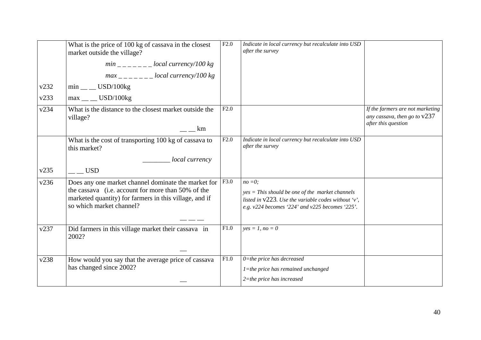|      | What is the price of 100 kg of cassava in the closest<br>market outside the village?                                                                                                            | F2.0 | Indicate in local currency but recalculate into USD<br>after the survey                                                                                                     |                                                                                           |
|------|-------------------------------------------------------------------------------------------------------------------------------------------------------------------------------------------------|------|-----------------------------------------------------------------------------------------------------------------------------------------------------------------------------|-------------------------------------------------------------------------------------------|
|      | $min_{----}$ = local currency/100 kg                                                                                                                                                            |      |                                                                                                                                                                             |                                                                                           |
|      | $max$ <sub>------</sub> local currency/100 kg                                                                                                                                                   |      |                                                                                                                                                                             |                                                                                           |
| v232 | $min$ <sub>__</sub> USD/100 $kg$                                                                                                                                                                |      |                                                                                                                                                                             |                                                                                           |
| v233 | $max$ <sub>__</sub> USD/100 $kg$                                                                                                                                                                |      |                                                                                                                                                                             |                                                                                           |
| v234 | What is the distance to the closest market outside the<br>village?<br>km                                                                                                                        | F2.0 |                                                                                                                                                                             | If the farmers are not marketing<br>any cassava, then go to $v237$<br>after this question |
|      | What is the cost of transporting 100 kg of cassava to<br>this market?                                                                                                                           | F2.0 | Indicate in local currency but recalculate into USD<br>after the survey                                                                                                     |                                                                                           |
|      | local currency                                                                                                                                                                                  |      |                                                                                                                                                                             |                                                                                           |
| v235 | <b>USD</b>                                                                                                                                                                                      |      |                                                                                                                                                                             |                                                                                           |
| v236 | Does any one market channel dominate the market for<br>the cassava (i.e. account for more than 50% of the<br>marketed quantity) for farmers in this village, and if<br>so which market channel? | F3.0 | $no = 0;$<br>$yes = This$ should be one of the market channels<br>listed in $v223$ . Use the variable codes without 'v',<br>e.g. v224 becomes '224' and v225 becomes '225'. |                                                                                           |
| v237 | Did farmers in this village market their cassava in<br>2002?                                                                                                                                    | F1.0 | $yes = 1, no = 0$                                                                                                                                                           |                                                                                           |
| v238 | How would you say that the average price of cassava<br>has changed since 2002?                                                                                                                  | F1.0 | $0$ =the price has decreased<br>$l$ =the price has remained unchanged<br>$2$ =the price has increased                                                                       |                                                                                           |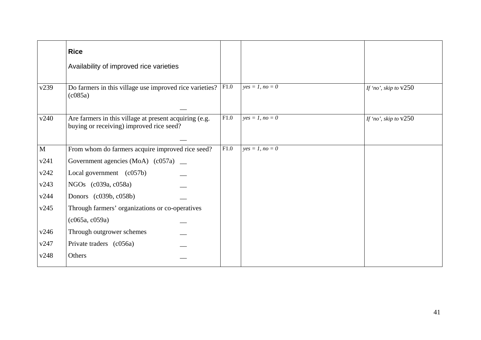|              | <b>Rice</b>                                                                                                 |      |                   |                         |
|--------------|-------------------------------------------------------------------------------------------------------------|------|-------------------|-------------------------|
|              | Availability of improved rice varieties                                                                     |      |                   |                         |
| v239         | Do farmers in this village use improved rice varieties?<br>$\left(\frac{\text{c085a}}{\text{c085a}}\right)$ | F1.0 | $yes = 1, no = 0$ | If 'no', skip to $v250$ |
| v240         | Are farmers in this village at present acquiring (e.g.<br>buying or receiving) improved rice seed?          | F1.0 | $yes = 1, no = 0$ | If 'no', skip to $v250$ |
| $\mathbf{M}$ | From whom do farmers acquire improved rice seed?                                                            | F1.0 | $yes = 1, no = 0$ |                         |
| v241         | Government agencies (MoA) $(c057a)$ _                                                                       |      |                   |                         |
| v242         | Local government $(c057b)$                                                                                  |      |                   |                         |
| v243         | NGOs (c039a, c058a)                                                                                         |      |                   |                         |
| v244         | Donors (c039b, c058b)                                                                                       |      |                   |                         |
| v245         | Through farmers' organizations or co-operatives                                                             |      |                   |                         |
|              | (c065a, c059a)                                                                                              |      |                   |                         |
| v246         | Through outgrower schemes                                                                                   |      |                   |                         |
| v247         | Private traders (c056a)                                                                                     |      |                   |                         |
| v248         | Others                                                                                                      |      |                   |                         |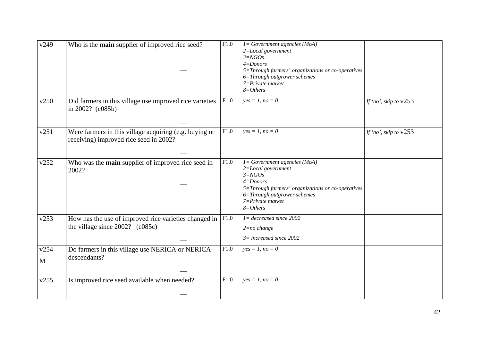| v249      | Who is the <b>main</b> supplier of improved rice seed?                                                     | F1.0 | $l = Government\text{ agencies } (MoA)$<br>2=Local government<br>$3 = NGOs$<br>$4 =$ Donors<br>5=Through farmers' organizations or co-operatives<br>6=Through outgrower schemes<br>7=Private market<br>$8 = Others$ |                         |
|-----------|------------------------------------------------------------------------------------------------------------|------|---------------------------------------------------------------------------------------------------------------------------------------------------------------------------------------------------------------------|-------------------------|
| v250      | Did farmers in this village use improved rice varieties<br>in $2002?$ ( $c085b$ )                          | F1.0 | $yes = 1, no = 0$                                                                                                                                                                                                   | If 'no', skip to $v253$ |
| v251      | Were farmers in this village acquiring (e.g. buying or<br>receiving) improved rice seed in 2002?           | F1.0 | $yes = 1, no = 0$                                                                                                                                                                                                   | If 'no', skip to $v253$ |
| v252      | Who was the main supplier of improved rice seed in<br>2002?                                                | F1.0 | $l = Government\text{ agencies } (MoA)$<br>2=Local government<br>$3 = NGOs$<br>$4 =$ Donors<br>5=Through farmers' organizations or co-operatives<br>6=Through outgrower schemes<br>7=Private market<br>$8 = Others$ |                         |
| v253      | How has the use of improved rice varieties changed in $ F1.0\rangle$<br>the village since $2002$ ? (c085c) |      | $I = decreased$ since 2002<br>$2 = no$ change<br>$3=$ increased since 2002                                                                                                                                          |                         |
| v254<br>M | Do farmers in this village use NERICA or NERICA-<br>descendants?                                           | F1.0 | $yes = 1, no = 0$                                                                                                                                                                                                   |                         |
| v255      | Is improved rice seed available when needed?                                                               | F1.0 | $yes = 1, no = 0$                                                                                                                                                                                                   |                         |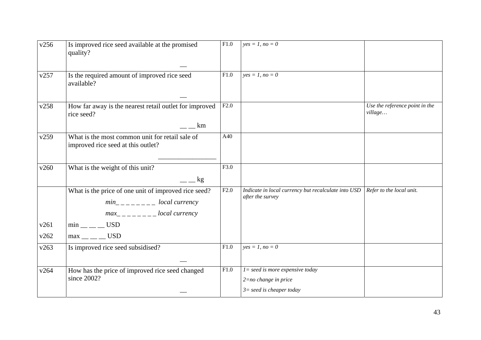| v256         | Is improved rice seed available at the promised<br>quality?                                                                                                                                                                                                                                                                                                                                                            | F1.0 | $yes = 1, no = 0$                                                                            |                                           |
|--------------|------------------------------------------------------------------------------------------------------------------------------------------------------------------------------------------------------------------------------------------------------------------------------------------------------------------------------------------------------------------------------------------------------------------------|------|----------------------------------------------------------------------------------------------|-------------------------------------------|
| v257         | Is the required amount of improved rice seed<br>available?                                                                                                                                                                                                                                                                                                                                                             | F1.0 | $ves = 1, no = 0$                                                                            |                                           |
| v258         | How far away is the nearest retail outlet for improved<br>rice seed?<br>$\overline{\phantom{a}}$ $\overline{\phantom{a}}$ km                                                                                                                                                                                                                                                                                           | F2.0 |                                                                                              | Use the reference point in the<br>village |
| v259         | What is the most common unit for retail sale of<br>improved rice seed at this outlet?                                                                                                                                                                                                                                                                                                                                  | A40  |                                                                                              |                                           |
| v260         | What is the weight of this unit?<br>$  kg$                                                                                                                                                                                                                                                                                                                                                                             | F3.0 |                                                                                              |                                           |
|              | What is the price of one unit of improved rice seed?<br>$min_{- - - - - -}$ local currency<br>$max_{-}$ $\frac{1}{2}$ $\frac{1}{2}$ $\frac{1}{2}$ $\frac{1}{2}$ $\frac{1}{2}$ $\frac{1}{2}$ $\frac{1}{2}$ $\frac{1}{2}$ $\frac{1}{2}$ $\frac{1}{2}$ $\frac{1}{2}$ $\frac{1}{2}$ $\frac{1}{2}$ $\frac{1}{2}$ $\frac{1}{2}$ $\frac{1}{2}$ $\frac{1}{2}$ $\frac{1}{2}$ $\frac{1}{2}$ $\frac{1}{2}$ $\frac{1}{2}$ $\frac{$ | F2.0 | Indicate in local currency but recalculate into USD<br>after the survey                      | Refer to the local unit.                  |
| v261<br>v262 | $min$ <sub>__</sub> ___ USD<br>$max$ <sub>__</sub> ___ USD                                                                                                                                                                                                                                                                                                                                                             |      |                                                                                              |                                           |
| v263         | Is improved rice seed subsidised?                                                                                                                                                                                                                                                                                                                                                                                      | F1.0 | $yes = 1, no = 0$                                                                            |                                           |
| v264         | How has the price of improved rice seed changed<br>since 2002?                                                                                                                                                                                                                                                                                                                                                         | F1.0 | $l = seed$ is more expensive today<br>$2 = no$ change in price<br>$3=$ seed is cheaper today |                                           |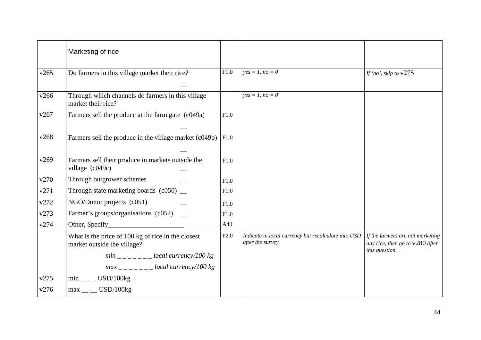|      | Marketing of rice                                                                 |      |                                                                          |                                                                       |
|------|-----------------------------------------------------------------------------------|------|--------------------------------------------------------------------------|-----------------------------------------------------------------------|
| v265 | Do farmers in this village market their rice?                                     | F1.0 | $yes = 1, no = 0$                                                        | If 'no', skip to $v275$                                               |
| v266 | Through which channels do farmers in this village<br>market their rice?           |      | $yes = 1, no = 0$                                                        |                                                                       |
| v267 | Farmers sell the produce at the farm gate (c049a)                                 | F1.0 |                                                                          |                                                                       |
| v268 | Farmers sell the produce in the village market (c049b)                            | F1.0 |                                                                          |                                                                       |
| v269 | Farmers sell their produce in markets outside the<br>village (c049c)              | F1.0 |                                                                          |                                                                       |
| v270 | Through outgrower schemes                                                         | F1.0 |                                                                          |                                                                       |
| v271 | Through state marketing boards $(c050)$ $\_\_$                                    | F1.0 |                                                                          |                                                                       |
| v272 | NGO/Donor projects (c051)                                                         | F1.0 |                                                                          |                                                                       |
| v273 | Farmer's groups/organisations (c052) _                                            | F1.0 |                                                                          |                                                                       |
| v274 | Other, Specify                                                                    | A40  |                                                                          |                                                                       |
|      | What is the price of 100 kg of rice in the closest<br>market outside the village? | F2.0 | Indicate in local currency but recalculate into USD<br>after the survey. | If the farmers are not marketing<br>any rice, then go to $v280$ after |
|      | $min$ <sub>------</sub> $local$ currency/100 kg                                   |      |                                                                          | this question.                                                        |
|      | $max_{------}$ local currency/100 kg                                              |      |                                                                          |                                                                       |
| v275 | $min$ <sub>__</sub> USD/100 $kg$                                                  |      |                                                                          |                                                                       |
| v276 | $max$ <sub>__</sub> __ USD/100kg                                                  |      |                                                                          |                                                                       |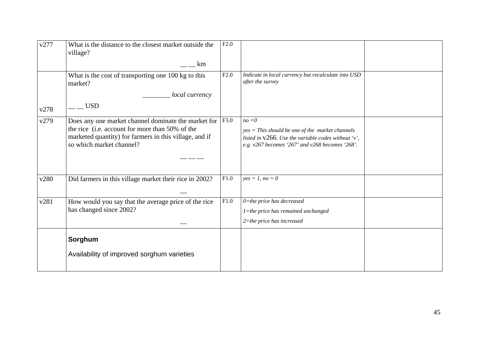| v277 | What is the distance to the closest market outside the<br>village?                                                                                                                           | F2.0 |                                                                                                                                                                            |  |
|------|----------------------------------------------------------------------------------------------------------------------------------------------------------------------------------------------|------|----------------------------------------------------------------------------------------------------------------------------------------------------------------------------|--|
|      | km                                                                                                                                                                                           |      |                                                                                                                                                                            |  |
|      | What is the cost of transporting one 100 kg to this<br>market?                                                                                                                               | F2.0 | Indicate in local currency but recalculate into USD<br>after the survey                                                                                                    |  |
|      | local currency                                                                                                                                                                               |      |                                                                                                                                                                            |  |
| v278 | <b>USD</b>                                                                                                                                                                                   |      |                                                                                                                                                                            |  |
| v279 | Does any one market channel dominate the market for<br>the rice (i.e. account for more than 50% of the<br>marketed quantity) for farmers in this village, and if<br>so which market channel? | F3.0 | $no = 0$<br>$yes = This should be one of the market channels$<br>listed in $v266$ . Use the variable codes without 'v',<br>e.g. v267 becomes '267' and v268 becomes '268'. |  |
|      |                                                                                                                                                                                              |      |                                                                                                                                                                            |  |
| v280 | Did farmers in this village market their rice in 2002?                                                                                                                                       | F1.0 | $yes = 1, no = 0$                                                                                                                                                          |  |
| v281 | How would you say that the average price of the rice<br>has changed since 2002?                                                                                                              | F1.0 | $0$ =the price has decreased<br>1=the price has remained unchanged<br>$2$ =the price has increased                                                                         |  |
|      | Sorghum                                                                                                                                                                                      |      |                                                                                                                                                                            |  |
|      | Availability of improved sorghum varieties                                                                                                                                                   |      |                                                                                                                                                                            |  |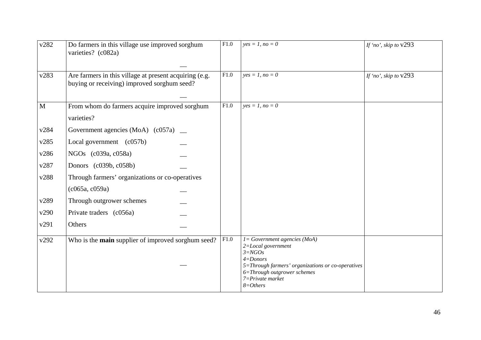| v282        | Do farmers in this village use improved sorghum<br>varieties? (c082a)                                 | F1.0 | $yes = 1, no = 0$                                                                                                    | If 'no', skip to $v293$ |
|-------------|-------------------------------------------------------------------------------------------------------|------|----------------------------------------------------------------------------------------------------------------------|-------------------------|
| v283        | Are farmers in this village at present acquiring (e.g.<br>buying or receiving) improved sorghum seed? | F1.0 | $yes = 1, no = 0$                                                                                                    | If 'no', skip to $v293$ |
| $\mathbf M$ | From whom do farmers acquire improved sorghum<br>varieties?                                           | F1.0 | $yes = 1, no = 0$                                                                                                    |                         |
| v284        | Government agencies (MoA) (c057a) _                                                                   |      |                                                                                                                      |                         |
| v285        | Local government (c057b)                                                                              |      |                                                                                                                      |                         |
| v286        | NGOs (c039a, c058a)                                                                                   |      |                                                                                                                      |                         |
| v287        | Donors (c039b, c058b)                                                                                 |      |                                                                                                                      |                         |
| v288        | Through farmers' organizations or co-operatives                                                       |      |                                                                                                                      |                         |
|             | (c065a, c059a)                                                                                        |      |                                                                                                                      |                         |
| v289        | Through outgrower schemes                                                                             |      |                                                                                                                      |                         |
| v290        | Private traders (c056a)                                                                               |      |                                                                                                                      |                         |
| v291        | Others                                                                                                |      |                                                                                                                      |                         |
| v292        | Who is the main supplier of improved sorghum seed?                                                    | F1.0 | $I = Government\text{ agencies } (MoA)$<br>2=Local government<br>$3 = NGOs$<br>$4 =$ Donors                          |                         |
|             |                                                                                                       |      | 5=Through farmers' organizations or co-operatives<br>6=Through outgrower schemes<br>7=Private market<br>$8 = Others$ |                         |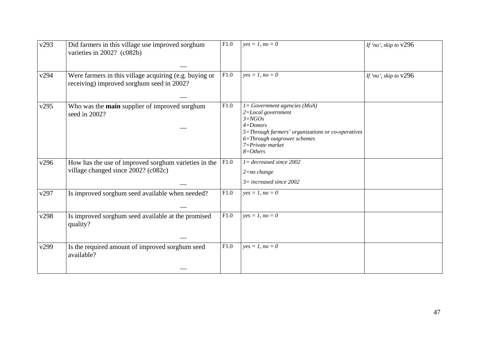| v293 | Did farmers in this village use improved sorghum<br>varieties in 2002? (c082b)                      | F1.0 | $yes = 1, no = 0$                                                                                                                                                                                                           | If 'no', skip to $v296$ |
|------|-----------------------------------------------------------------------------------------------------|------|-----------------------------------------------------------------------------------------------------------------------------------------------------------------------------------------------------------------------------|-------------------------|
| v294 | Were farmers in this village acquiring (e.g. buying or<br>receiving) improved sorghum seed in 2002? | F1.0 | $yes = 1, no = 0$                                                                                                                                                                                                           | If 'no', skip to $v296$ |
| v295 | Who was the main supplier of improved sorghum<br>seed in 2002?                                      | F1.0 | $l = Government\text{ agencies } (MoA)$<br>$2 = Local$ government<br>$3 = NGOs$<br>$4 =$ Donors<br>5=Through farmers' organizations or co-operatives<br>6=Through outgrower schemes<br>$7 = Private$ market<br>$8 = Others$ |                         |
| v296 | How has the use of improved sorghum varieties in the<br>village changed since 2002? (c082c)         | F1.0 | $I = decreased$ since 2002<br>$2 = no \ change$<br>$3=$ increased since 2002                                                                                                                                                |                         |
| v297 | Is improved sorghum seed available when needed?                                                     | F1.0 | $yes = 1, no = 0$                                                                                                                                                                                                           |                         |
| v298 | Is improved sorghum seed available at the promised<br>quality?                                      | F1.0 | $yes = 1, no = 0$                                                                                                                                                                                                           |                         |
| v299 | Is the required amount of improved sorghum seed<br>available?                                       | F1.0 | $yes = 1, no = 0$                                                                                                                                                                                                           |                         |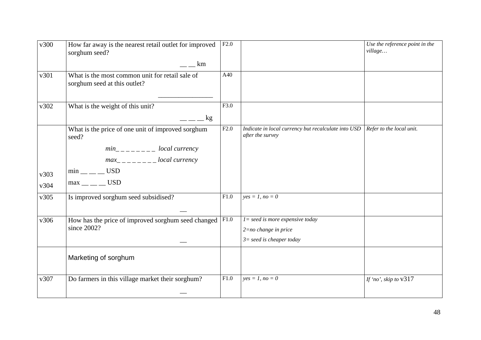| v300         | How far away is the nearest retail outlet for improved<br>sorghum seed?<br>km                                                                                                                                                                                                                                                                                                                                                                                                         | F2.0 |                                                                                             | Use the reference point in the<br>village |
|--------------|---------------------------------------------------------------------------------------------------------------------------------------------------------------------------------------------------------------------------------------------------------------------------------------------------------------------------------------------------------------------------------------------------------------------------------------------------------------------------------------|------|---------------------------------------------------------------------------------------------|-------------------------------------------|
| v301         | What is the most common unit for retail sale of<br>sorghum seed at this outlet?                                                                                                                                                                                                                                                                                                                                                                                                       | A40  |                                                                                             |                                           |
| v302         | What is the weight of this unit?<br>$=$ $-$ kg                                                                                                                                                                                                                                                                                                                                                                                                                                        | F3.0 |                                                                                             |                                           |
| v303<br>v304 | What is the price of one unit of improved sorghum<br>seed?<br>$min_{-}$ $\frac{1}{2}$ $\frac{1}{2}$ $\frac{1}{2}$ $\frac{1}{2}$ $\frac{1}{2}$ $\frac{1}{2}$ $\frac{1}{2}$ $\frac{1}{2}$ $\frac{1}{2}$ $\frac{1}{2}$ $\frac{1}{2}$ $\frac{1}{2}$ $\frac{1}{2}$ $\frac{1}{2}$ $\frac{1}{2}$ $\frac{1}{2}$ $\frac{1}{2}$ $\frac{1}{2}$ $\frac{1}{2}$ $\frac{1}{2}$ $\frac{1}{2}$ $\frac{$<br>$max_{------}$ local currency<br>$min$ <sub>__</sub> ___ USD<br>$max$ <sub>__</sub> ___ USD | F2.0 | Indicate in local currency but recalculate into USD<br>after the survey                     | Refer to the local unit.                  |
| v305         | Is improved sorghum seed subsidised?                                                                                                                                                                                                                                                                                                                                                                                                                                                  | F1.0 | $yes = 1, no = 0$                                                                           |                                           |
| v306         | How has the price of improved sorghum seed changed $ F1.0\rangle$<br>since 2002?                                                                                                                                                                                                                                                                                                                                                                                                      |      | $l = seed$ is more expensive today<br>$2 = no$ change in price<br>$3=seed$ is cheaper today |                                           |
|              | Marketing of sorghum                                                                                                                                                                                                                                                                                                                                                                                                                                                                  |      |                                                                                             |                                           |
| v307         | Do farmers in this village market their sorghum?                                                                                                                                                                                                                                                                                                                                                                                                                                      | F1.0 | $yes = 1, no = 0$                                                                           | If 'no', skip to $v317$                   |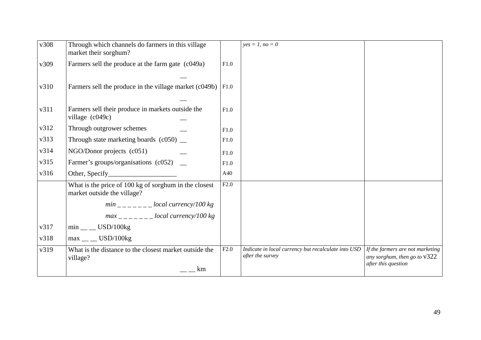| v308 | Through which channels do farmers in this village<br>market their sorghum?           |      | $yes = 1, no = 0$                                                       |                                                             |
|------|--------------------------------------------------------------------------------------|------|-------------------------------------------------------------------------|-------------------------------------------------------------|
| v309 | Farmers sell the produce at the farm gate (c049a)                                    | F1.0 |                                                                         |                                                             |
|      |                                                                                      |      |                                                                         |                                                             |
| v310 | Farmers sell the produce in the village market (c049b)                               | F1.0 |                                                                         |                                                             |
|      |                                                                                      |      |                                                                         |                                                             |
| v311 | Farmers sell their produce in markets outside the                                    | F1.0 |                                                                         |                                                             |
|      | village $(c049c)$                                                                    |      |                                                                         |                                                             |
| v312 | Through outgrower schemes                                                            | F1.0 |                                                                         |                                                             |
| v313 | Through state marketing boards $(c050)$ $\_\_$                                       | F1.0 |                                                                         |                                                             |
| v314 | $NGO/Donor$ projects $(c051)$                                                        | F1.0 |                                                                         |                                                             |
| v315 | Farmer's groups/organisations (c052) _                                               | F1.0 |                                                                         |                                                             |
| v316 | Other, Specify_                                                                      | A40  |                                                                         |                                                             |
|      | What is the price of 100 kg of sorghum in the closest<br>market outside the village? | F2.0 |                                                                         |                                                             |
|      | $min$ <sub>-----</sub> --local currency/100 kg                                       |      |                                                                         |                                                             |
|      | $max$ <sub>-----</sub> --local currency/100 kg                                       |      |                                                                         |                                                             |
| v317 | $min$ <sub>__</sub> USD/100kg                                                        |      |                                                                         |                                                             |
| v318 | $max$ <sub>__</sub> USD/100kg                                                        |      |                                                                         |                                                             |
| v319 | What is the distance to the closest market outside the                               | F2.0 | Indicate in local currency but recalculate into USD<br>after the survey | If the farmers are not marketing                            |
|      | village?<br>km                                                                       |      |                                                                         | any sorghum, then go to $\sqrt{322}$<br>after this question |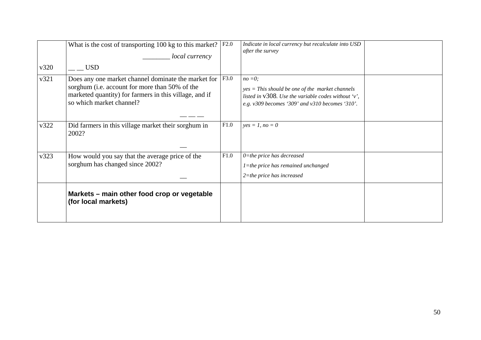|      | What is the cost of transporting $100 \text{ kg}$ to this market?<br>local currency                                                                                                           | F2.0 | Indicate in local currency but recalculate into USD<br>after the survey                                                                                                      |  |
|------|-----------------------------------------------------------------------------------------------------------------------------------------------------------------------------------------------|------|------------------------------------------------------------------------------------------------------------------------------------------------------------------------------|--|
| v320 | <b>USD</b>                                                                                                                                                                                    |      |                                                                                                                                                                              |  |
| v321 | Does any one market channel dominate the market for  <br>sorghum (i.e. account for more than 50% of the<br>marketed quantity) for farmers in this village, and if<br>so which market channel? | F3.0 | $no = 0$ :<br>$yes = This should be one of the market channels$<br>listed in $v308$ . Use the variable codes without 'v',<br>e.g. v309 becomes '309' and v310 becomes '310'. |  |
| v322 | Did farmers in this village market their sorghum in<br>2002?                                                                                                                                  | F1.0 | $yes = 1, no = 0$                                                                                                                                                            |  |
| v323 | How would you say that the average price of the<br>sorghum has changed since 2002?                                                                                                            | F1.0 | $0$ =the price has decreased<br>$l$ =the price has remained unchanged<br>$2$ =the price has increased                                                                        |  |
|      | Markets – main other food crop or vegetable<br>(for local markets)                                                                                                                            |      |                                                                                                                                                                              |  |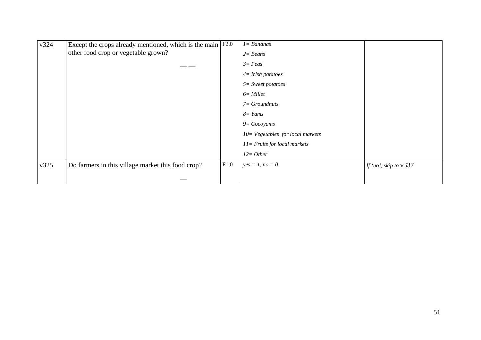| v324 | Except the crops already mentioned, which is the main $F2.0$ |      | $I = Bananas$                       |                         |
|------|--------------------------------------------------------------|------|-------------------------------------|-------------------------|
|      | other food crop or vegetable grown?                          |      | $2 = Beans$                         |                         |
|      |                                                              |      | $3 = Peas$                          |                         |
|      |                                                              |      | $4 = Irish$ potatoes                |                         |
|      |                                                              |      | $5 =$ Sweet potatoes                |                         |
|      |                                                              |      | $6 =$ Millet                        |                         |
|      |                                                              |      | $7 = Groundnuts$                    |                         |
|      |                                                              |      | $8 =$ Yams                          |                         |
|      |                                                              |      | $9 = Cocoyams$                      |                         |
|      |                                                              |      | $10 = Vegetables$ for local markets |                         |
|      |                                                              |      | $11 =$ Fruits for local markets     |                         |
|      |                                                              |      | $12 = Other$                        |                         |
| v325 | Do farmers in this village market this food crop?            | F1.0 | $yes = 1, no = 0$                   | If 'no', skip to $v337$ |
|      |                                                              |      |                                     |                         |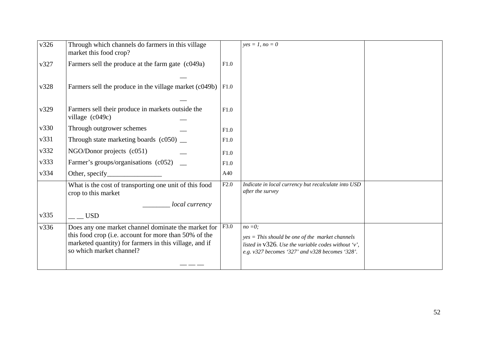| v326 | Through which channels do farmers in this village<br>market this food crop?                                                                                                                        |      | $yes = 1, no = 0$                                                                                                                                                         |  |
|------|----------------------------------------------------------------------------------------------------------------------------------------------------------------------------------------------------|------|---------------------------------------------------------------------------------------------------------------------------------------------------------------------------|--|
| v327 | Farmers sell the produce at the farm gate (c049a)                                                                                                                                                  | F1.0 |                                                                                                                                                                           |  |
| v328 | Farmers sell the produce in the village market (c049b)                                                                                                                                             | F1.0 |                                                                                                                                                                           |  |
| v329 | Farmers sell their produce in markets outside the<br>village (c049c)                                                                                                                               | F1.0 |                                                                                                                                                                           |  |
| v330 | Through outgrower schemes                                                                                                                                                                          | F1.0 |                                                                                                                                                                           |  |
| v331 | Through state marketing boards $(c050)$ $\_\_$                                                                                                                                                     | F1.0 |                                                                                                                                                                           |  |
| v332 | NGO/Donor projects (c051)                                                                                                                                                                          | F1.0 |                                                                                                                                                                           |  |
| v333 | Farmer's groups/organisations (c052) _                                                                                                                                                             | F1.0 |                                                                                                                                                                           |  |
| v334 | Other, specify_                                                                                                                                                                                    | A40  |                                                                                                                                                                           |  |
|      | What is the cost of transporting one unit of this food<br>crop to this market                                                                                                                      | F2.0 | Indicate in local currency but recalculate into USD<br>after the survey                                                                                                   |  |
|      | local currency                                                                                                                                                                                     |      |                                                                                                                                                                           |  |
| v335 | <b>USD</b>                                                                                                                                                                                         |      |                                                                                                                                                                           |  |
| v336 | Does any one market channel dominate the market for<br>this food crop (i.e. account for more than 50% of the<br>marketed quantity) for farmers in this village, and if<br>so which market channel? | F3.0 | $no = 0$ ;<br>$yes = This should be one of the market channels$<br>listed in v326. Use the variable codes without 'v',<br>e.g. v327 becomes '327' and v328 becomes '328'. |  |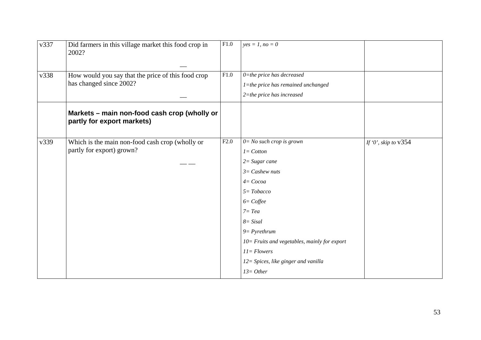| v337 | Did farmers in this village market this food crop in<br>2002?              | F1.0 | $yes = 1, no = 0$                               |                        |
|------|----------------------------------------------------------------------------|------|-------------------------------------------------|------------------------|
| v338 | How would you say that the price of this food crop                         | F1.0 | $0$ =the price has decreased                    |                        |
|      | has changed since 2002?                                                    |      | 1=the price has remained unchanged              |                        |
|      |                                                                            |      | $2$ =the price has increased                    |                        |
|      | Markets - main non-food cash crop (wholly or<br>partly for export markets) |      |                                                 |                        |
| v339 | Which is the main non-food cash crop (wholly or                            | F2.0 | $0 = No$ such crop is grown                     | If '0', skip to $v354$ |
|      | partly for export) grown?                                                  |      | $I = \textit{Cotton}$                           |                        |
|      |                                                                            |      | $2 = Sugar$ cane                                |                        |
|      |                                                                            |      | $3=$ Cashew nuts                                |                        |
|      |                                                                            |      | $4 = Cocoa$                                     |                        |
|      |                                                                            |      | $5 = Tobacco$                                   |                        |
|      |                                                                            |      | $6 = C$ offee                                   |                        |
|      |                                                                            |      | $7 = Tea$                                       |                        |
|      |                                                                            |      | $8 = Sisal$                                     |                        |
|      |                                                                            |      | $9 = Pyrethrum$                                 |                        |
|      |                                                                            |      | $10 =$ Fruits and vegetables, mainly for export |                        |
|      |                                                                            |      | $11 = Flowers$                                  |                        |
|      |                                                                            |      | 12= Spices, like ginger and vanilla             |                        |
|      |                                                                            |      | $13 = Other$                                    |                        |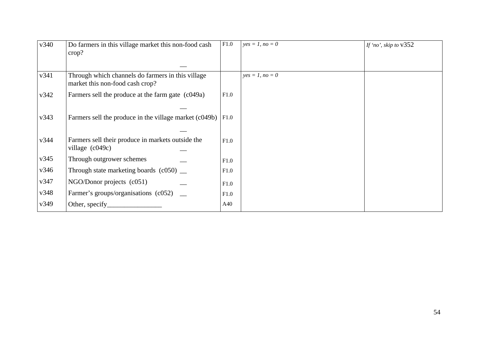| v340 | Do farmers in this village market this non-food cash<br>$\text{crop?}$               | F1.0 | $yes = 1, no = 0$ | If 'no', skip to $v352$ |
|------|--------------------------------------------------------------------------------------|------|-------------------|-------------------------|
|      |                                                                                      |      |                   |                         |
| v341 | Through which channels do farmers in this village<br>market this non-food cash crop? |      | $yes = 1, no = 0$ |                         |
| v342 | Farmers sell the produce at the farm gate (c049a)                                    | F1.0 |                   |                         |
| v343 | Farmers sell the produce in the village market (c049b)                               | F1.0 |                   |                         |
| v344 | Farmers sell their produce in markets outside the<br>village $(c049c)$               | F1.0 |                   |                         |
| v345 | Through outgrower schemes                                                            | F1.0 |                   |                         |
| v346 | Through state marketing boards $(c050)$ $\_\_$                                       | F1.0 |                   |                         |
| v347 | NGO/Donor projects (c051)                                                            | F1.0 |                   |                         |
| v348 | Farmer's groups/organisations (c052)                                                 | F1.0 |                   |                         |
| v349 | Other, specify                                                                       | A40  |                   |                         |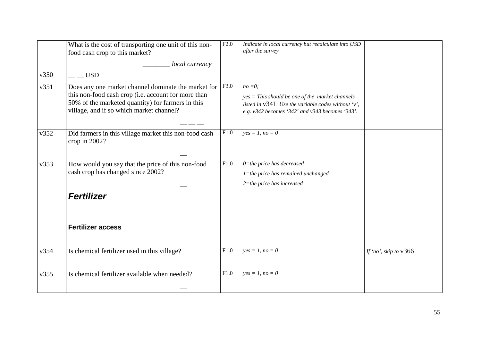|      | What is the cost of transporting one unit of this non-<br>food cash crop to this market?                                                                                                                    | F2.0 | Indicate in local currency but recalculate into USD<br>after the survey                                                                                                     |                         |
|------|-------------------------------------------------------------------------------------------------------------------------------------------------------------------------------------------------------------|------|-----------------------------------------------------------------------------------------------------------------------------------------------------------------------------|-------------------------|
|      | local currency                                                                                                                                                                                              |      |                                                                                                                                                                             |                         |
| v350 | USD <sub>.</sub>                                                                                                                                                                                            |      |                                                                                                                                                                             |                         |
| v351 | Does any one market channel dominate the market for<br>this non-food cash crop (i.e. account for more than<br>50% of the marketed quantity) for farmers in this<br>village, and if so which market channel? | F3.0 | $no = 0;$<br>$yes = This$ should be one of the market channels<br>listed in $v341$ . Use the variable codes without 'v',<br>e.g. v342 becomes '342' and v343 becomes '343'. |                         |
| v352 | Did farmers in this village market this non-food cash<br>crop in 2002?                                                                                                                                      | F1.0 | $yes = 1, no = 0$                                                                                                                                                           |                         |
| v353 | How would you say that the price of this non-food<br>cash crop has changed since 2002?                                                                                                                      | F1.0 | $0$ =the price has decreased<br>1=the price has remained unchanged<br>$2$ =the price has increased                                                                          |                         |
|      | <b>Fertilizer</b>                                                                                                                                                                                           |      |                                                                                                                                                                             |                         |
|      | <b>Fertilizer access</b>                                                                                                                                                                                    |      |                                                                                                                                                                             |                         |
| v354 | Is chemical fertilizer used in this village?                                                                                                                                                                | F1.0 | $yes = 1, no = 0$                                                                                                                                                           | If 'no', skip to $v366$ |
| v355 | Is chemical fertilizer available when needed?                                                                                                                                                               | F1.0 | $yes = 1, no = 0$                                                                                                                                                           |                         |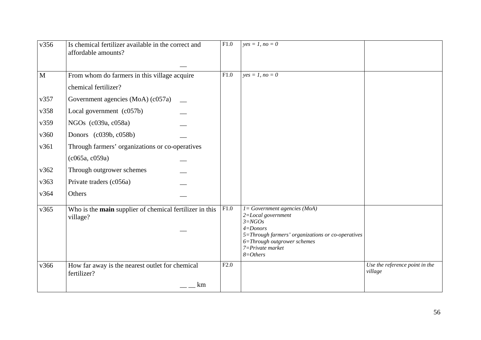| v356 | Is chemical fertilizer available in the correct and<br>affordable amounts? | $\overline{F1.0}$ | $yes = 1, no = 0$                                                                                                                                                                                                   |                                           |
|------|----------------------------------------------------------------------------|-------------------|---------------------------------------------------------------------------------------------------------------------------------------------------------------------------------------------------------------------|-------------------------------------------|
| M    | From whom do farmers in this village acquire                               | F1.0              | $yes = 1, no = 0$                                                                                                                                                                                                   |                                           |
|      | chemical fertilizer?                                                       |                   |                                                                                                                                                                                                                     |                                           |
| v357 | Government agencies (MoA) (c057a)                                          |                   |                                                                                                                                                                                                                     |                                           |
| v358 | Local government (c057b)                                                   |                   |                                                                                                                                                                                                                     |                                           |
| v359 | NGOs (c039a, c058a)                                                        |                   |                                                                                                                                                                                                                     |                                           |
| v360 | Donors (c039b, c058b)                                                      |                   |                                                                                                                                                                                                                     |                                           |
| v361 | Through farmers' organizations or co-operatives                            |                   |                                                                                                                                                                                                                     |                                           |
|      | (c065a, c059a)                                                             |                   |                                                                                                                                                                                                                     |                                           |
| v362 | Through outgrower schemes                                                  |                   |                                                                                                                                                                                                                     |                                           |
| v363 | Private traders (c056a)                                                    |                   |                                                                                                                                                                                                                     |                                           |
| v364 | Others                                                                     |                   |                                                                                                                                                                                                                     |                                           |
| v365 | Who is the main supplier of chemical fertilizer in this<br>village?        | F1.0              | $I = Government\text{ agencies } (MoA)$<br>2=Local government<br>$3 = NGOs$<br>$4 =$ Donors<br>5=Through farmers' organizations or co-operatives<br>6=Through outgrower schemes<br>7=Private market<br>$8 = Others$ |                                           |
| v366 | How far away is the nearest outlet for chemical<br>fertilizer?             | F2.0              |                                                                                                                                                                                                                     | Use the reference point in the<br>village |
|      | km                                                                         |                   |                                                                                                                                                                                                                     |                                           |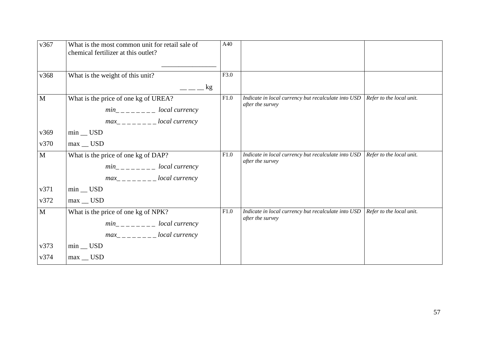| v367         | What is the most common unit for retail sale of<br>chemical fertilizer at this outlet?                                                                                                                                                                                                                                   | A40  |                                                     |                          |
|--------------|--------------------------------------------------------------------------------------------------------------------------------------------------------------------------------------------------------------------------------------------------------------------------------------------------------------------------|------|-----------------------------------------------------|--------------------------|
| v368         | What is the weight of this unit?                                                                                                                                                                                                                                                                                         | F3.0 |                                                     |                          |
|              | kg.                                                                                                                                                                                                                                                                                                                      |      |                                                     |                          |
| M            | What is the price of one kg of UREA?                                                                                                                                                                                                                                                                                     | F1.0 | Indicate in local currency but recalculate into USD | Refer to the local unit. |
|              | $min_{- - - - - -}$ local currency                                                                                                                                                                                                                                                                                       |      | after the survey                                    |                          |
|              | $max_{-}$ $\frac{1}{2}$ $\frac{1}{2}$ $\frac{1}{2}$ $\frac{1}{2}$ $\frac{1}{2}$ $\frac{1}{2}$ $\frac{1}{2}$ $\frac{1}{2}$ $\frac{1}{2}$ $\frac{1}{2}$ $\frac{1}{2}$ $\frac{1}{2}$ $\frac{1}{2}$ $\frac{1}{2}$ $\frac{1}{2}$ $\frac{1}{2}$ $\frac{1}{2}$ $\frac{1}{2}$ $\frac{1}{2}$ $\frac{1}{2}$ $\frac{1}{2}$ $\frac{$ |      |                                                     |                          |
| v369         | $min$ _ USD                                                                                                                                                                                                                                                                                                              |      |                                                     |                          |
| v370         | $max$ _ USD                                                                                                                                                                                                                                                                                                              |      |                                                     |                          |
| $\mathbf{M}$ | What is the price of one kg of DAP?                                                                                                                                                                                                                                                                                      | F1.0 | Indicate in local currency but recalculate into USD | Refer to the local unit. |
|              | $min_{----}$ local currency                                                                                                                                                                                                                                                                                              |      | after the survey                                    |                          |
|              | $max_{------}$ local currency                                                                                                                                                                                                                                                                                            |      |                                                     |                          |
| v371         | $min$ _ USD                                                                                                                                                                                                                                                                                                              |      |                                                     |                          |
| v372         | $max$ _ USD                                                                                                                                                                                                                                                                                                              |      |                                                     |                          |
| $\mathbf{M}$ | What is the price of one kg of NPK?                                                                                                                                                                                                                                                                                      | F1.0 | Indicate in local currency but recalculate into USD | Refer to the local unit. |
|              | $min_{- - - - - - -}$ local currency                                                                                                                                                                                                                                                                                     |      | after the survey                                    |                          |
|              | $max_{------}$ local currency                                                                                                                                                                                                                                                                                            |      |                                                     |                          |
| v373         | $min$ _ USD                                                                                                                                                                                                                                                                                                              |      |                                                     |                          |
| v374         | $max$ _ USD                                                                                                                                                                                                                                                                                                              |      |                                                     |                          |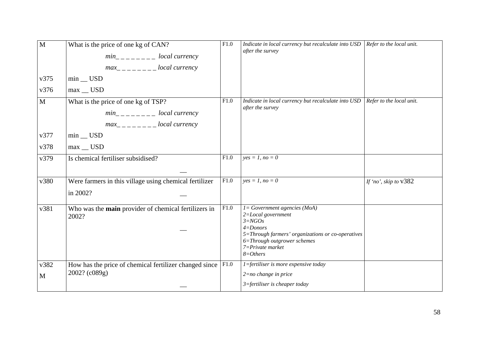| $\mathbf{M}$ | What is the price of one kg of CAN?<br>$min_{- - - - - -}$ local currency<br>$max_{------}$ local currency | F1.0 | Indicate in local currency but recalculate into $\text{USD}$ Refer to the local unit.<br>after the survey            |                          |
|--------------|------------------------------------------------------------------------------------------------------------|------|----------------------------------------------------------------------------------------------------------------------|--------------------------|
| v375         | $min$ _ USD                                                                                                |      |                                                                                                                      |                          |
| v376         | $max$ _ USD                                                                                                |      |                                                                                                                      |                          |
| $\mathbf{M}$ | What is the price of one kg of TSP?                                                                        | F1.0 | Indicate in local currency but recalculate into USD<br>after the survey                                              | Refer to the local unit. |
|              | $min_{----}$ local currency                                                                                |      |                                                                                                                      |                          |
|              | $max_{------}$ local currency                                                                              |      |                                                                                                                      |                          |
| v377         | $min$ _ USD                                                                                                |      |                                                                                                                      |                          |
| v378         | $max$ _ USD                                                                                                |      |                                                                                                                      |                          |
| v379         | Is chemical fertiliser subsidised?                                                                         | F1.0 | $yes = 1, no = 0$                                                                                                    |                          |
|              |                                                                                                            |      |                                                                                                                      |                          |
| v380         | Were farmers in this village using chemical fertilizer                                                     | F1.0 | $yes = 1, no = 0$                                                                                                    | If 'no', skip to v382    |
|              | in 2002?                                                                                                   |      |                                                                                                                      |                          |
| v381         | Who was the main provider of chemical fertilizers in<br>2002?                                              | F1.0 | $I = Government\text{ agencies } (MoA)$<br>2=Local government<br>$3 = NGOs$                                          |                          |
|              |                                                                                                            |      | $4 =$ Donors<br>5=Through farmers' organizations or co-operatives<br>6=Through outgrower schemes<br>7=Private market |                          |
|              |                                                                                                            |      | $8 = Others$                                                                                                         |                          |
| v382         | How has the price of chemical fertilizer changed since $ F1.0\rangle$                                      |      | $1 =$ fertiliser is more expensive today                                                                             |                          |
| M            | 2002? (c089g)                                                                                              |      | $2=no$ change in price                                                                                               |                          |
|              |                                                                                                            |      | $3 =$ fertiliser is cheaper today                                                                                    |                          |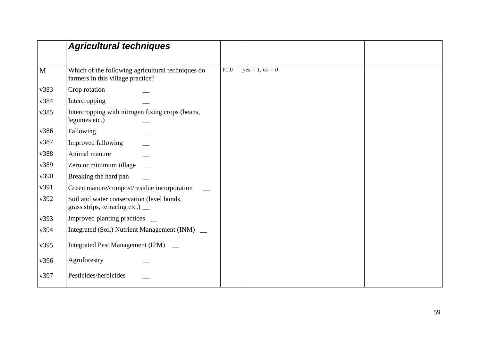|      | <b>Agricultural techniques</b>                                                         |      |                   |  |
|------|----------------------------------------------------------------------------------------|------|-------------------|--|
| M    | Which of the following agricultural techniques do<br>farmers in this village practice? | F1.0 | $yes = 1, no = 0$ |  |
| v383 | Crop rotation                                                                          |      |                   |  |
| v384 | Intercropping                                                                          |      |                   |  |
| v385 | Intercropping with nitrogen fixing crops (beans,<br>legumes etc.)                      |      |                   |  |
| v386 | Fallowing                                                                              |      |                   |  |
| v387 | Improved fallowing                                                                     |      |                   |  |
| v388 | Animal manure                                                                          |      |                   |  |
| v389 | Zero or minimum tillage                                                                |      |                   |  |
| v390 | Breaking the hard pan                                                                  |      |                   |  |
| v391 | Green manure/compost/residue incorporation                                             |      |                   |  |
| v392 | Soil and water conservation (level bunds,<br>grass strips, terracing etc.) _           |      |                   |  |
| v393 | Improved planting practices __                                                         |      |                   |  |
| v394 | Integrated (Soil) Nutrient Management (INM) _                                          |      |                   |  |
| v395 | <b>Integrated Pest Management (IPM)</b>                                                |      |                   |  |
| v396 | Agroforestry                                                                           |      |                   |  |
| v397 | Pesticides/herbicides                                                                  |      |                   |  |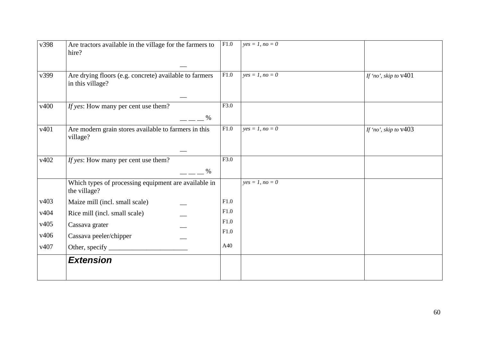| v398 | Are tractors available in the village for the farmers to<br>hire?          | F1.0 | $yes = 1, no = 0$ |                         |
|------|----------------------------------------------------------------------------|------|-------------------|-------------------------|
| v399 | Are drying floors (e.g. concrete) available to farmers<br>in this village? | F1.0 | $yes = 1, no = 0$ | If 'no', skip to $v401$ |
| v400 | If yes: How many per cent use them?<br>$\%$                                | F3.0 |                   |                         |
| v401 | Are modern grain stores available to farmers in this<br>village?           | F1.0 | $yes = 1, no = 0$ | If 'no', skip to $v403$ |
| v402 | If yes: How many per cent use them?<br>$\%$                                | F3.0 |                   |                         |
|      | Which types of processing equipment are available in<br>the village?       |      | $yes = 1, no = 0$ |                         |
| v403 | Maize mill (incl. small scale)                                             | F1.0 |                   |                         |
| v404 | Rice mill (incl. small scale)                                              | F1.0 |                   |                         |
| v405 | Cassava grater                                                             | F1.0 |                   |                         |
| v406 | Cassava peeler/chipper                                                     | F1.0 |                   |                         |
| v407 |                                                                            | A40  |                   |                         |
|      | <b>Extension</b>                                                           |      |                   |                         |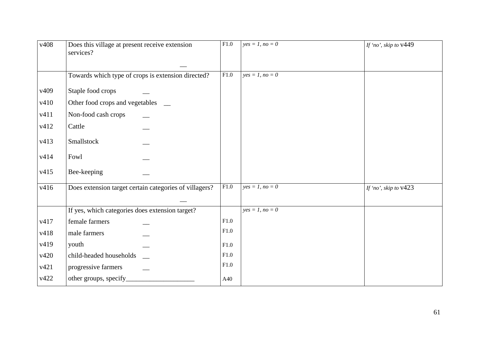| v408             | Does this village at present receive extension<br>services? | F1.0 | $yes = 1, no = 0$ | If 'no', skip to v449   |
|------------------|-------------------------------------------------------------|------|-------------------|-------------------------|
|                  | Towards which type of crops is extension directed?          | F1.0 | $yes = 1, no = 0$ |                         |
| v <sub>409</sub> | Staple food crops                                           |      |                   |                         |
| v410             | Other food crops and vegetables                             |      |                   |                         |
| v411             | Non-food cash crops                                         |      |                   |                         |
| v412             | Cattle                                                      |      |                   |                         |
| v413             | Smallstock                                                  |      |                   |                         |
| v414             | Fowl                                                        |      |                   |                         |
| v415             | Bee-keeping                                                 |      |                   |                         |
| v416             | Does extension target certain categories of villagers?      | F1.0 | $yes = 1, no = 0$ | If 'no', skip to $v423$ |
|                  |                                                             |      |                   |                         |
|                  | If yes, which categories does extension target?             |      | $yes = 1, no = 0$ |                         |
| v417             | female farmers                                              | F1.0 |                   |                         |
| v418             | male farmers                                                | F1.0 |                   |                         |
| v419             | youth                                                       | F1.0 |                   |                         |
| v420             | child-headed households                                     | F1.0 |                   |                         |
| v421             | progressive farmers                                         | F1.0 |                   |                         |
| v422             | other groups, specify_                                      | A40  |                   |                         |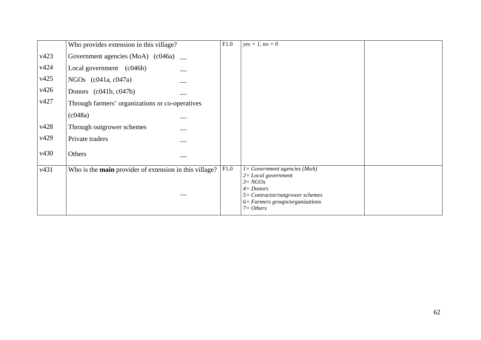|      | Who provides extension in this village?                | F1.0 | $yes = 1, no = 0$                                                                               |  |
|------|--------------------------------------------------------|------|-------------------------------------------------------------------------------------------------|--|
| v423 | Government agencies (MoA) (c046a) _                    |      |                                                                                                 |  |
| v424 | Local government (c046b)                               |      |                                                                                                 |  |
| v425 | NGOs $(c041a, c047a)$                                  |      |                                                                                                 |  |
| v426 | Donors $(c041b, c047b)$                                |      |                                                                                                 |  |
| v427 | Through farmers' organizations or co-operatives        |      |                                                                                                 |  |
|      | $\left(\frac{c048a}{c}\right)$                         |      |                                                                                                 |  |
| v428 | Through outgrower schemes                              |      |                                                                                                 |  |
| v429 | Private traders                                        |      |                                                                                                 |  |
| v430 | Others                                                 |      |                                                                                                 |  |
| v431 | Who is the main provider of extension in this village? | F1.0 | $l = Government\text{ agencies } (MoA)$<br>$2 = Local$ government<br>$3 = NGOs$<br>$4 =$ Donors |  |
|      |                                                        |      | 5= Contractor/outgrower schemes<br>$6$ = Farmers groups/organizations<br>$7 = Others$           |  |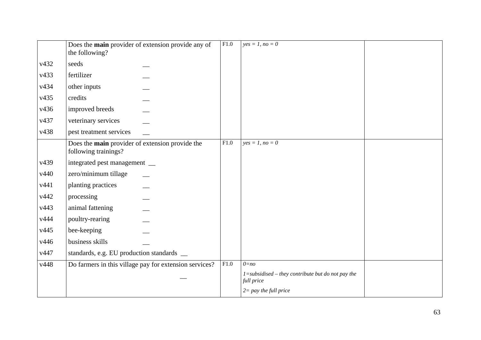|      | Does the main provider of extension provide any of<br>the following?    | F1.0 | $yes = 1, no = 0$                                                   |  |
|------|-------------------------------------------------------------------------|------|---------------------------------------------------------------------|--|
| v432 | seeds                                                                   |      |                                                                     |  |
| v433 | fertilizer                                                              |      |                                                                     |  |
| v434 | other inputs                                                            |      |                                                                     |  |
| v435 | credits                                                                 |      |                                                                     |  |
| v436 | improved breeds                                                         |      |                                                                     |  |
| v437 | veterinary services                                                     |      |                                                                     |  |
| v438 | pest treatment services                                                 |      |                                                                     |  |
|      | Does the main provider of extension provide the<br>following trainings? | F1.0 | $yes = 1, no = 0$                                                   |  |
| v439 | integrated pest management __                                           |      |                                                                     |  |
| v440 | zero/minimum tillage                                                    |      |                                                                     |  |
| v441 | planting practices                                                      |      |                                                                     |  |
| v442 | processing                                                              |      |                                                                     |  |
| v443 | animal fattening                                                        |      |                                                                     |  |
| v444 | poultry-rearing                                                         |      |                                                                     |  |
| v445 | bee-keeping                                                             |      |                                                                     |  |
| v446 | business skills                                                         |      |                                                                     |  |
| v447 | standards, e.g. EU production standards _                               |      |                                                                     |  |
| v448 | Do farmers in this village pay for extension services?                  | F1.0 | $0=no$                                                              |  |
|      |                                                                         |      | $1 =$ subsidised – they contribute but do not pay the<br>full price |  |
|      |                                                                         |      | $2 = pay$ the full price                                            |  |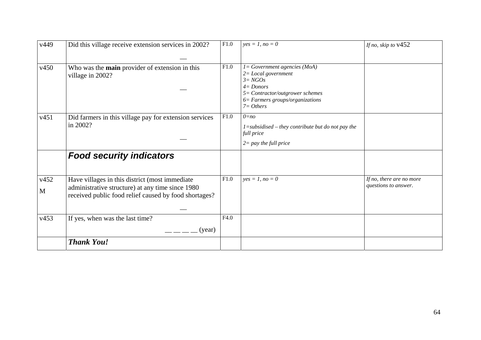| v449 | Did this village receive extension services in 2002?                                                      | F1.0 | $yes = 1, no = 0$                                                                                                                                                             | If no, skip to $v452$                            |
|------|-----------------------------------------------------------------------------------------------------------|------|-------------------------------------------------------------------------------------------------------------------------------------------------------------------------------|--------------------------------------------------|
|      |                                                                                                           |      |                                                                                                                                                                               |                                                  |
| v450 | Who was the main provider of extension in this<br>village in 2002?                                        | F1.0 | 1= Government agencies (MoA)<br>$2 = Local government$<br>$3 = NGOs$<br>$4 =$ Donors<br>5= Contractor/outgrower schemes<br>$6$ = Farmers groups/organizations<br>$7 = Others$ |                                                  |
| v451 | Did farmers in this village pay for extension services<br>in 2002?                                        | F1.0 | $0=no$<br>$1 =$ subsidised – they contribute but do not pay the<br>full price<br>$2 = pay$ the full price                                                                     |                                                  |
|      | <b>Food security indicators</b>                                                                           |      |                                                                                                                                                                               |                                                  |
| v452 | Have villages in this district (most immediate                                                            | F1.0 | $yes = 1, no = 0$                                                                                                                                                             | If no, there are no more<br>questions to answer. |
| M    | administrative structure) at any time since 1980<br>received public food relief caused by food shortages? |      |                                                                                                                                                                               |                                                  |
| v453 | If yes, when was the last time?                                                                           | F4.0 |                                                                                                                                                                               |                                                  |
|      | (year)                                                                                                    |      |                                                                                                                                                                               |                                                  |
|      | <b>Thank You!</b>                                                                                         |      |                                                                                                                                                                               |                                                  |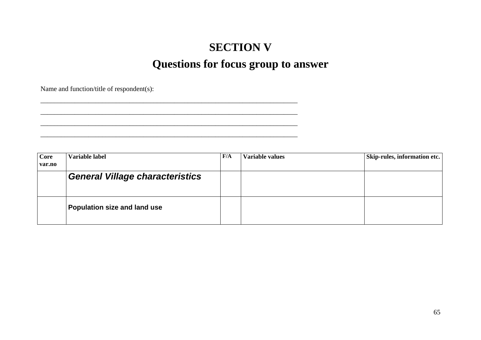## **SECTION V Questions for focus group to answer**

Name and function/title of respondent(s):

\_\_\_\_\_\_\_\_\_\_\_\_\_\_\_\_\_\_\_\_\_\_\_\_\_\_\_\_\_\_\_\_\_\_\_\_\_\_\_\_\_\_\_\_\_\_\_\_\_\_\_\_\_\_\_\_\_\_\_\_\_\_\_\_\_\_\_\_\_\_\_\_\_\_\_ \_\_\_\_\_\_\_\_\_\_\_\_\_\_\_\_\_\_\_\_\_\_\_\_\_\_\_\_\_\_\_\_\_\_\_\_\_\_\_\_\_\_\_\_\_\_\_\_\_\_\_\_\_\_\_\_\_\_\_\_\_\_\_\_\_\_\_\_\_\_\_\_\_\_\_  $\mathcal{L}_\text{max} = \mathcal{L}_\text{max} = \mathcal{L}_\text{max} = \mathcal{L}_\text{max} = \mathcal{L}_\text{max} = \mathcal{L}_\text{max} = \mathcal{L}_\text{max} = \mathcal{L}_\text{max} = \mathcal{L}_\text{max} = \mathcal{L}_\text{max} = \mathcal{L}_\text{max} = \mathcal{L}_\text{max} = \mathcal{L}_\text{max} = \mathcal{L}_\text{max} = \mathcal{L}_\text{max} = \mathcal{L}_\text{max} = \mathcal{L}_\text{max} = \mathcal{L}_\text{max} = \mathcal{$ 

**Core var.no Variable label F/A Variable values Skip-rules, information etc.**  *General Village characteristics*  **Population size and land use**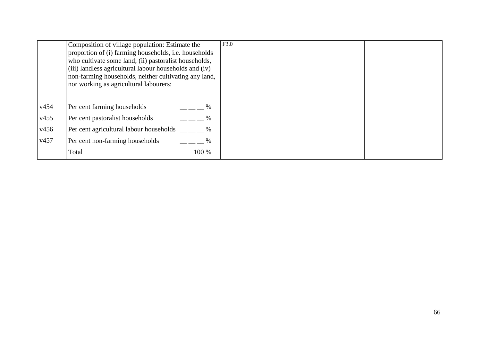|  |  | Composition of village population: Estimate the<br>proportion of (i) farming households, i.e. households<br>who cultivate some land; (ii) pastoralist households,<br>(iii) landless agricultural labour households and (iv)<br>non-farming households, neither cultivating any land,<br>nor working as agricultural labourers: |
|--|--|--------------------------------------------------------------------------------------------------------------------------------------------------------------------------------------------------------------------------------------------------------------------------------------------------------------------------------|
|  |  |                                                                                                                                                                                                                                                                                                                                |
|  |  | $\%$                                                                                                                                                                                                                                                                                                                           |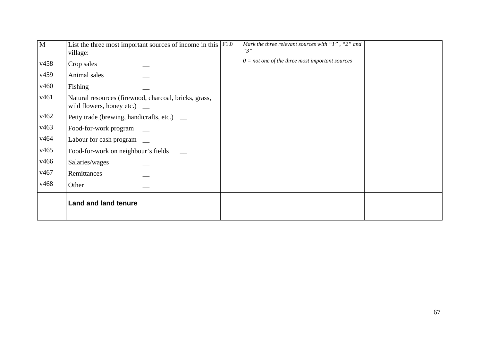| M    | List the three most important sources of income in this $\sqrt{\text{F1.0}}$<br>village:    | Mark the three relevant sources with "1", "2" and<br>"3" |  |
|------|---------------------------------------------------------------------------------------------|----------------------------------------------------------|--|
| v458 | Crop sales                                                                                  | $0 = not$ one of the three most important sources        |  |
| v459 | Animal sales                                                                                |                                                          |  |
| v460 | Fishing                                                                                     |                                                          |  |
| v461 | Natural resources (firewood, charcoal, bricks, grass,<br>wild flowers, honey etc.) $\qquad$ |                                                          |  |
| v462 | Petty trade (brewing, handicrafts, etc.) _                                                  |                                                          |  |
| v463 | Food-for-work program                                                                       |                                                          |  |
| v464 | Labour for cash program _                                                                   |                                                          |  |
| v465 | Food-for-work on neighbour's fields                                                         |                                                          |  |
| v466 | Salaries/wages                                                                              |                                                          |  |
| v467 | Remittances                                                                                 |                                                          |  |
| v468 | Other                                                                                       |                                                          |  |
|      | <b>Land and land tenure</b>                                                                 |                                                          |  |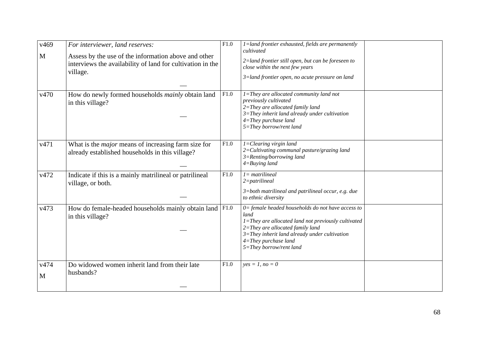| v469<br>M | For interviewer, land reserves:<br>Assess by the use of the information above and other<br>interviews the availability of land for cultivation in the<br>village. | $\overline{F1.0}$ | $1$ =land frontier exhausted, fields are permanently<br>cultivated<br>2=land frontier still open, but can be foreseen to<br>close within the next few years<br>3=land frontier open, no acute pressure on land                                                      |  |
|-----------|-------------------------------------------------------------------------------------------------------------------------------------------------------------------|-------------------|---------------------------------------------------------------------------------------------------------------------------------------------------------------------------------------------------------------------------------------------------------------------|--|
| v470      | How do newly formed households <i>mainly</i> obtain land<br>in this village?                                                                                      | F1.0              | $\overline{I}$ =They are allocated community land not<br>previously cultivated<br>2=They are allocated family land<br>$3 =$ They inherit land already under cultivation<br>$4 = They$ purchase land<br>5=They borrow/rent land                                      |  |
| v471      | What is the <i>major</i> means of increasing farm size for<br>already established households in this village?                                                     | F1.0              | $I = Clearing virgin land$<br>$2 =$ Cultivating communal pasture/grazing land<br>$3 =$ Renting/borrowing land<br>$4 = Buying$ land                                                                                                                                  |  |
| v472      | Indicate if this is a mainly matrilineal or patrilineal<br>village, or both.                                                                                      | F1.0              | $l = matrilineal$<br>$2$ =patrilineal<br>$3 =$ both matrilineal and patrilineal occur, e.g. due<br>to ethnic diversity                                                                                                                                              |  |
| v473      | How do female-headed households mainly obtain land   F1.0<br>in this village?                                                                                     |                   | $0 =$ female headed households do not have access to<br>land<br>1=They are allocated land not previously cultivated<br>2=They are allocated family land<br>$3 =$ They inherit land already under cultivation<br>$4 = They$ purchase land<br>5=They borrow/rent land |  |
| v474<br>M | Do widowed women inherit land from their late<br>husbands?                                                                                                        | F1.0              | $yes = 1, no = 0$                                                                                                                                                                                                                                                   |  |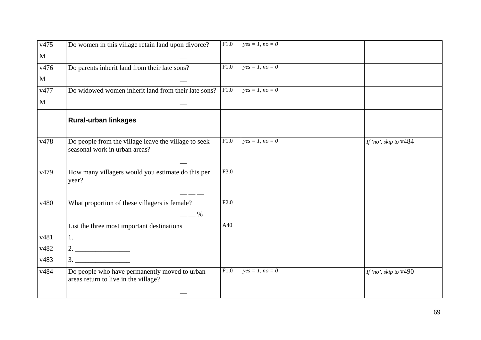| v475         | Do women in this village retain land upon divorce?                                                                 | F1.0 | $yes = 1, no = 0$ |                         |
|--------------|--------------------------------------------------------------------------------------------------------------------|------|-------------------|-------------------------|
| $\mathbf{M}$ |                                                                                                                    |      |                   |                         |
| v476         | Do parents inherit land from their late sons?                                                                      | F1.0 | $yes = 1, no = 0$ |                         |
| $\mathbf{M}$ |                                                                                                                    |      |                   |                         |
| v477         | Do widowed women inherit land from their late sons?                                                                | F1.0 | $yes = 1, no = 0$ |                         |
| $\mathbf{M}$ |                                                                                                                    |      |                   |                         |
|              | <b>Rural-urban linkages</b>                                                                                        |      |                   |                         |
| v478         | Do people from the village leave the village to seek<br>seasonal work in urban areas?                              | F1.0 | $yes = 1, no = 0$ | If 'no', skip to $v484$ |
| v479         | How many villagers would you estimate do this per<br>year?                                                         | F3.0 |                   |                         |
| v480         | What proportion of these villagers is female?<br>$ \frac{\%}{\%}$                                                  | F2.0 |                   |                         |
|              | List the three most important destinations                                                                         | A40  |                   |                         |
| v481         | $\begin{tabular}{ c c c c } \hline \quad \quad & \quad \quad & \quad \quad & \quad \quad \\ \hline \end{tabular}.$ |      |                   |                         |
| v482         |                                                                                                                    |      |                   |                         |
| v483         |                                                                                                                    |      |                   |                         |
| v484         | Do people who have permanently moved to urban<br>areas return to live in the village?                              | F1.0 | $yes = 1, no = 0$ | If 'no', skip to $v490$ |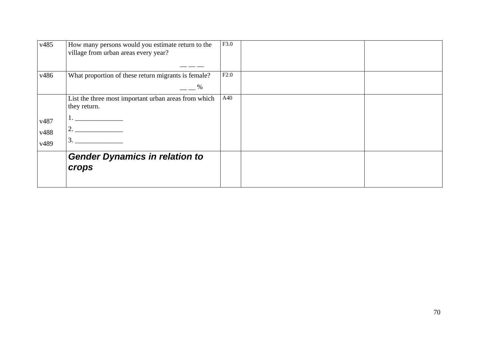| v485                 | How many persons would you estimate return to the<br>village from urban areas every year? | F3.0 |  |
|----------------------|-------------------------------------------------------------------------------------------|------|--|
| v486                 | What proportion of these return migrants is female?<br>%                                  | F2.0 |  |
| v487<br>v488<br>v489 | List the three most important urban areas from which<br>they return.<br>3                 | A40  |  |
|                      | <b>Gender Dynamics in relation to</b><br><b>crops</b>                                     |      |  |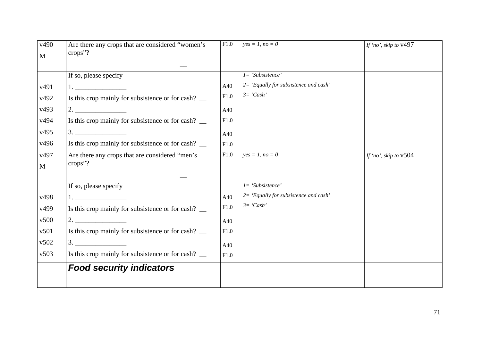| v490<br>$\mathbf{M}$ | Are there any crops that are considered "women's<br>crops"? | $\overline{F}1.0$ | $yes = 1, no = 0$                     | If 'no', skip to $v497$ |
|----------------------|-------------------------------------------------------------|-------------------|---------------------------------------|-------------------------|
|                      |                                                             |                   |                                       |                         |
|                      | If so, please specify                                       |                   | $I = 'Subsistence'$                   |                         |
| v491                 |                                                             | A40               | 2= 'Equally for subsistence and cash' |                         |
| v492                 | Is this crop mainly for subsistence or for cash? _          | F1.0              | $3=$ 'Cash'                           |                         |
| v493                 |                                                             | A40               |                                       |                         |
| v494                 | Is this crop mainly for subsistence or for cash? __         | F1.0              |                                       |                         |
| v495                 | $\begin{array}{c}\n3.\n\end{array}$                         | A40               |                                       |                         |
| v496                 | Is this crop mainly for subsistence or for cash? _          | F1.0              |                                       |                         |
| v497<br>$\mathbf{M}$ | Are there any crops that are considered "men's<br>crops"?   | F1.0              | $yes = 1, no = 0$                     | If 'no', skip to $v504$ |
|                      |                                                             |                   |                                       |                         |
|                      | If so, please specify                                       |                   | $I = 'Subsistence'$                   |                         |
| v498                 | 1. $\overline{\phantom{a}}$                                 | A40               | 2= 'Equally for subsistence and cash' |                         |
| v499                 | Is this crop mainly for subsistence or for cash? _          | F1.0              | $3=$ 'Cash'                           |                         |
| v500                 |                                                             | A40               |                                       |                         |
| v501                 | Is this crop mainly for subsistence or for cash? _          | F1.0              |                                       |                         |
| v502                 | 3.                                                          | A40               |                                       |                         |
| v503                 | Is this crop mainly for subsistence or for cash? __         | F1.0              |                                       |                         |
|                      | <b>Food security indicators</b>                             |                   |                                       |                         |
|                      |                                                             |                   |                                       |                         |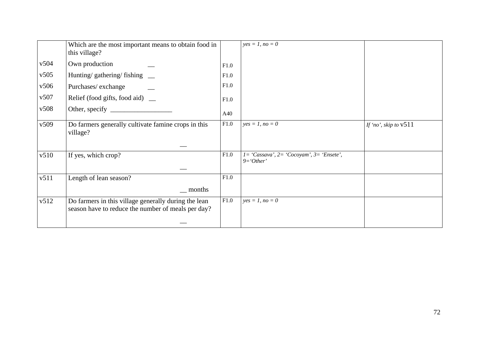|      | Which are the most important means to obtain food in<br>this village?                                      |      | $yes = 1, no = 0$                                            |                         |
|------|------------------------------------------------------------------------------------------------------------|------|--------------------------------------------------------------|-------------------------|
| v504 | Own production                                                                                             | F1.0 |                                                              |                         |
| v505 | Hunting/gathering/fishing __                                                                               | F1.0 |                                                              |                         |
| v506 | Purchases/exchange                                                                                         | F1.0 |                                                              |                         |
| v507 | Relief (food gifts, food aid) _                                                                            | F1.0 |                                                              |                         |
| v508 |                                                                                                            | A40  |                                                              |                         |
| v509 | Do farmers generally cultivate famine crops in this<br>village?                                            | F1.0 | $yes = 1, no = 0$                                            | If 'no', skip to $v511$ |
|      |                                                                                                            |      |                                                              |                         |
| v510 | If yes, which crop?                                                                                        | F1.0 | $l = 'Cassava', 2 = 'Cocoyam', 3 = 'Ensete',$<br>$9='Other'$ |                         |
|      |                                                                                                            | F1.0 |                                                              |                         |
| v511 | Length of lean season?<br><u>months</u>                                                                    |      |                                                              |                         |
|      |                                                                                                            |      |                                                              |                         |
| v512 | Do farmers in this village generally during the lean<br>season have to reduce the number of meals per day? | F1.0 | $yes = 1, no = 0$                                            |                         |
|      |                                                                                                            |      |                                                              |                         |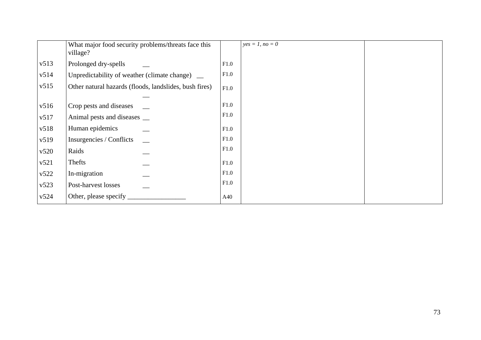|      | What major food security problems/threats face this<br>village? |      | $yes = 1, no = 0$ |  |
|------|-----------------------------------------------------------------|------|-------------------|--|
| v513 | Prolonged dry-spells                                            | F1.0 |                   |  |
| v514 | Unpredictability of weather (climate change)                    | F1.0 |                   |  |
| v515 | Other natural hazards (floods, landslides, bush fires)          | F1.0 |                   |  |
| v516 | Crop pests and diseases                                         | F1.0 |                   |  |
| v517 | Animal pests and diseases __                                    | F1.0 |                   |  |
| v518 | Human epidemics                                                 | F1.0 |                   |  |
| v519 | Insurgencies / Conflicts                                        | F1.0 |                   |  |
| v520 | Raids                                                           | F1.0 |                   |  |
| v521 | Thefts                                                          | F1.0 |                   |  |
| v522 | In-migration                                                    | F1.0 |                   |  |
| v523 | Post-harvest losses                                             | F1.0 |                   |  |
| v524 | Other, please specify                                           | A40  |                   |  |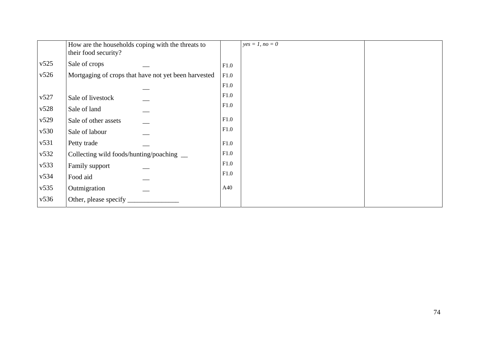|      | How are the households coping with the threats to<br>their food security? |      | $yes = 1, no = 0$ |  |
|------|---------------------------------------------------------------------------|------|-------------------|--|
| v525 | Sale of crops                                                             | F1.0 |                   |  |
| v526 | Mortgaging of crops that have not yet been harvested                      | F1.0 |                   |  |
|      |                                                                           | F1.0 |                   |  |
| v527 | Sale of livestock                                                         | F1.0 |                   |  |
| v528 | Sale of land                                                              | F1.0 |                   |  |
| v529 | Sale of other assets                                                      | F1.0 |                   |  |
| v530 | Sale of labour                                                            | F1.0 |                   |  |
| v531 | Petty trade                                                               | F1.0 |                   |  |
| v532 | Collecting wild foods/hunting/poaching __                                 | F1.0 |                   |  |
| v533 | Family support                                                            | F1.0 |                   |  |
| v534 | Food aid                                                                  | F1.0 |                   |  |
| v535 | Outmigration                                                              | A40  |                   |  |
| v536 | Other, please specify                                                     |      |                   |  |